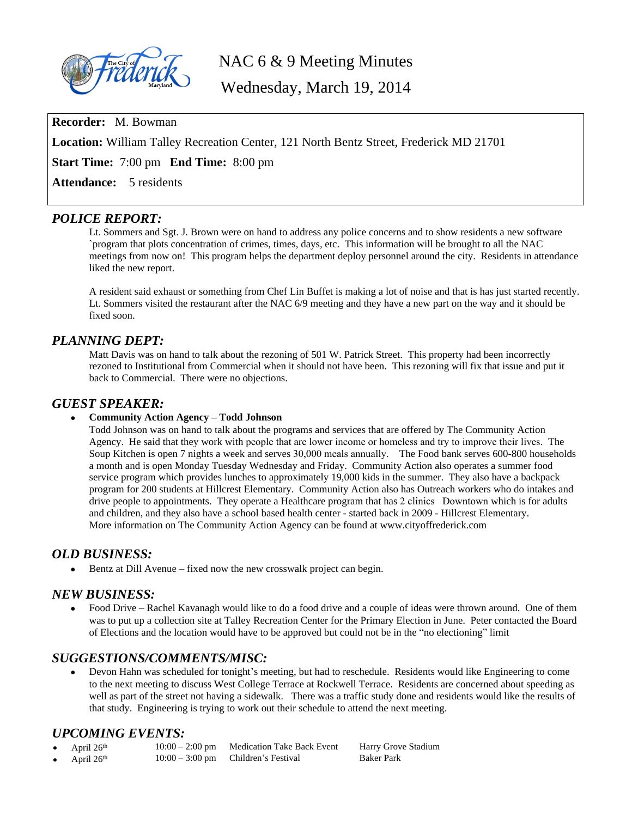

NAC 6 & 9 Meeting Minutes

Wednesday, March 19, 2014

**Recorder:** M. Bowman

**Location:** William Talley Recreation Center, 121 North Bentz Street, Frederick MD 21701

**Start Time:** 7:00 pm **End Time:** 8:00 pm

Attendance: 5 residents

## *POLICE REPORT:*

Lt. Sommers and Sgt. J. Brown were on hand to address any police concerns and to show residents a new software `program that plots concentration of crimes, times, days, etc. This information will be brought to all the NAC meetings from now on! This program helps the department deploy personnel around the city. Residents in attendance liked the new report.

A resident said exhaust or something from Chef Lin Buffet is making a lot of noise and that is has just started recently. Lt. Sommers visited the restaurant after the NAC 6/9 meeting and they have a new part on the way and it should be fixed soon.

# *PLANNING DEPT:*

Matt Davis was on hand to talk about the rezoning of 501 W. Patrick Street. This property had been incorrectly rezoned to Institutional from Commercial when it should not have been. This rezoning will fix that issue and put it back to Commercial. There were no objections.

## *GUEST SPEAKER:*

#### **Community Action Agency – Todd Johnson**

Todd Johnson was on hand to talk about the programs and services that are offered by The Community Action Agency. He said that they work with people that are lower income or homeless and try to improve their lives. The Soup Kitchen is open 7 nights a week and serves 30,000 meals annually. The Food bank serves 600-800 households a month and is open Monday Tuesday Wednesday and Friday. Community Action also operates a summer food service program which provides lunches to approximately 19,000 kids in the summer. They also have a backpack program for 200 students at Hillcrest Elementary. Community Action also has Outreach workers who do intakes and drive people to appointments. They operate a Healthcare program that has 2 clinics Downtown which is for adults and children, and they also have a school based health center - started back in 2009 - Hillcrest Elementary. More information on The Community Action Agency can be found at www.cityoffrederick.com

# *OLD BUSINESS:*

Bentz at Dill Avenue – fixed now the new crosswalk project can begin.

#### *NEW BUSINESS:*

 Food Drive – Rachel Kavanagh would like to do a food drive and a couple of ideas were thrown around. One of them was to put up a collection site at Talley Recreation Center for the Primary Election in June. Peter contacted the Board of Elections and the location would have to be approved but could not be in the "no electioning" limit

#### *SUGGESTIONS/COMMENTS/MISC:*

 Devon Hahn was scheduled for tonight's meeting, but had to reschedule. Residents would like Engineering to come to the next meeting to discuss West College Terrace at Rockwell Terrace. Residents are concerned about speeding as well as part of the street not having a sidewalk. There was a traffic study done and residents would like the results of that study. Engineering is trying to work out their schedule to attend the next meeting.

#### *UPCOMING EVENTS:*

| April $26th$ | $10:00 - 2:00$ pm Medication Take Back Event | Harry Grove Stadium |
|--------------|----------------------------------------------|---------------------|
| April $26th$ | $10:00 - 3:00$ pm Children's Festival        | <b>Baker Park</b>   |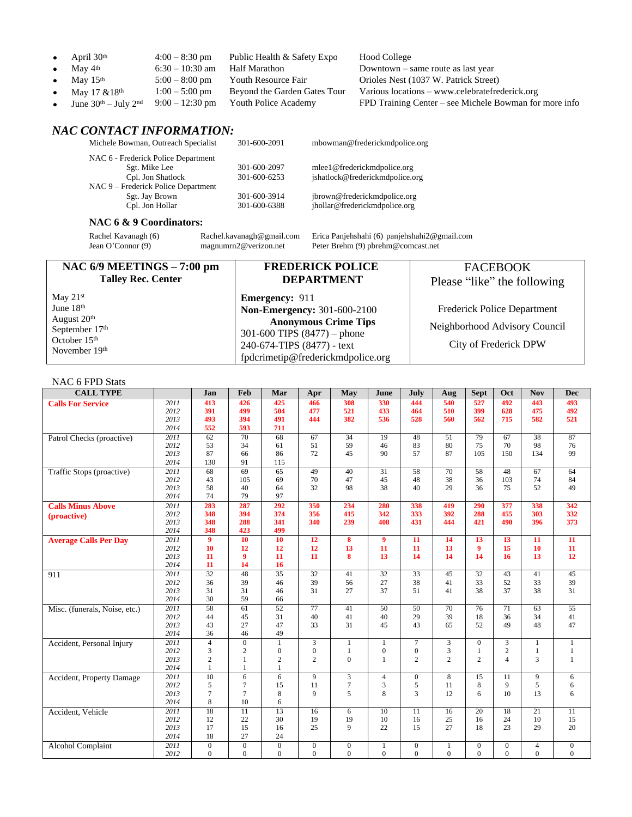|           | • April $30th$                 | $4:00 - 8:30$ pm  | Public Health & Safety Expo          | Hood College                                           |
|-----------|--------------------------------|-------------------|--------------------------------------|--------------------------------------------------------|
| $\bullet$ | May 4th                        | $6:30 - 10:30$ am | Half Marathon                        | Downtown – same route as last year                     |
|           | • May $15th$                   | $5:00-8:00$ pm    | Youth Resource Fair                  | Orioles Nest (1037 W. Patrick Street)                  |
| $\bullet$ | May $17 \& 18$ <sup>th</sup>   | $1:00 - 5:00$ pm  | Beyond the Garden Gates Tour         | Various locations – www.celebratefrederick.org         |
| $\bullet$ | June $30^{th}$ – July $2^{nd}$ |                   | $9:00-12:30$ pm Youth Police Academy | FPD Training Center – see Michele Bowman for more info |
|           |                                |                   |                                      |                                                        |

# *NAC CONTACT INFORMATION:*

| Michele Bowman, Outreach Specialist | 301-600-2091 | mbowman@frederickmdpolice.org   |
|-------------------------------------|--------------|---------------------------------|
| NAC 6 - Frederick Police Department |              |                                 |
| Sgt. Mike Lee                       | 301-600-2097 | mlee1@frederickmdpolice.org     |
| Cpl. Jon Shatlock                   | 301-600-6253 | jshatlock@frederickmdpolice.org |
| NAC 9 – Frederick Police Department |              |                                 |
| Sgt. Jay Brown                      | 301-600-3914 | jbrown@frederickmdpolice.org    |
| Cpl. Jon Hollar                     | 301-600-6388 | jhollar@frederickmdpolice.org   |
|                                     |              |                                 |

#### **NAC 6 & 9 Coordinators:**

Rachel Kavanagh (6) [Rachel.kavanagh@gmail.com](mailto:Rachel.kavanagh@gmail.com) Erica Panjehshahi (6) [panjehshahi2@gmail.com](mailto:panjehshahi2@gmail.com) Jean O'Connor (9) [magnumrn2@verizon.net](mailto:magnumrn2@verizon.net) Peter Brehm (9) pbrehm@comcast.net

| NAC $6/9$ MEETINGS $-7:00$ pm                                                | <b>FREDERICK POLICE</b>                                                                                                         | <b>FACEBOOK</b>                                        |
|------------------------------------------------------------------------------|---------------------------------------------------------------------------------------------------------------------------------|--------------------------------------------------------|
| <b>Talley Rec. Center</b>                                                    | <b>DEPARTMENT</b>                                                                                                               | Please "like" the following                            |
| May $21st$                                                                   | <b>Emergency: 911</b>                                                                                                           |                                                        |
| June $18th$                                                                  | <b>Non-Emergency: 301-600-2100</b>                                                                                              | Frederick Police Department                            |
| August 20 <sup>th</sup><br>September 17th<br>October $15th$<br>November 19th | <b>Anonymous Crime Tips</b><br>301-600 TIPS $(8477)$ – phone<br>240-674-TIPS (8477) - text<br>fpdcrimetip@frederickmdpolice.org | Neighborhood Advisory Council<br>City of Frederick DPW |

#### NAC 6 FPD Stats

| $111 \times 1011 \times 10111$<br><b>CALL TYPE</b> |                   | Jan                 | Feb                              | Mar                     | Apr              | May            | June             | July             | Aug             | <b>Sept</b>      | Oct              | <b>Nov</b>            | <b>Dec</b>       |
|----------------------------------------------------|-------------------|---------------------|----------------------------------|-------------------------|------------------|----------------|------------------|------------------|-----------------|------------------|------------------|-----------------------|------------------|
| <b>Calls For Service</b>                           | 2011              | 413                 | 426                              | 425                     | 466              | 308            | 330              | 444              | 540             | 527              | 492              | 443                   | 493              |
|                                                    | 2012              | 391                 | 499                              | 504                     | 477              | 521            | 433              | 464              | 510             | 399              | 628              | 475                   | 492              |
|                                                    | 2013              | 493                 | 394                              | 491                     | 444              | 382            | 536              | 528              | 560             | 562              | 715              | 582                   | 521              |
|                                                    | 2014              | 552                 | 593                              | 711                     |                  |                |                  |                  |                 |                  |                  |                       |                  |
| Patrol Checks (proactive)                          | 2011              | 62                  | 70                               | 68                      | 67               | 34             | 19               | 48               | 51              | 79               | 67               | 38                    | 87               |
|                                                    | 2012              | 53                  | 34                               | 61                      | 51               | 59             | 46               | 83               | 80              | 75               | 70               | 98                    | 76               |
|                                                    | 2013              | 87                  | 66                               | 86                      | 72               | 45             | 90               | 57               | 87              | 105              | 150              | 134                   | 99               |
|                                                    | 2014              | 130                 | 91                               | 115                     |                  |                |                  |                  |                 |                  |                  |                       |                  |
| Traffic Stops (proactive)                          | 2011              | 68                  | 69                               | 65                      | 49               | 40             | 31               | 58               | 70              | 58               | 48               | 67                    | 64               |
|                                                    | 2012              | 43                  | 105                              | 69                      | 70               | 47             | 45               | 48               | 38              | 36               | 103              | 74                    | 84               |
|                                                    | 2013              | 58                  | 40                               | 64                      | 32               | 98             | 38               | 40               | 29              | 36               | 75               | 52                    | 49               |
|                                                    | 2014              | 74                  | 79                               | 97                      |                  |                |                  |                  |                 |                  |                  |                       |                  |
| <b>Calls Minus Above</b>                           | 2011              | 283                 | 287                              | 292                     | 350              | 234            | 280              | 338              | 419             | 290              | 377              | 338                   | 342              |
| (proactive)                                        | 2012              | 348                 | 394                              | 374                     | 356              | 415            | 342              | 333              | 392             | 288              | 455              | 303                   | 332              |
|                                                    | 2013              | 348                 | 288                              | 341                     | 340              | 239            | 408              | 431              | 444             | 421              | 490              | 396                   | 373              |
|                                                    | 2014              | 348                 | 423                              | 499                     |                  |                |                  |                  |                 |                  |                  |                       |                  |
| <b>Average Calls Per Day</b>                       | $\overline{2011}$ | 9                   | <b>10</b>                        | 10                      | 12               | 8              | $\overline{9}$   | 11               | 14              | 13               | 13               | 11                    | $\overline{11}$  |
|                                                    | 2012              | 10                  | 12                               | 12                      | 12               | 13             | 11               | 11               | 13              | $\boldsymbol{9}$ | 15               | 10                    | 11               |
|                                                    | 2013              | 11                  | 9                                | 11                      | 11               | 8              | 13               | 14               | 14              | 14               | 16               | 13                    | 12               |
|                                                    | 2014              | 11                  | 14                               | 16                      |                  |                |                  |                  |                 |                  |                  |                       |                  |
| 911                                                | 2011              | $\overline{32}$     | 48                               | $\overline{35}$         | $\overline{32}$  | 41             | $\overline{32}$  | 33               | 45              | $\overline{32}$  | 43               | 41                    | 45               |
|                                                    | 2012              | 36                  | 39                               | 46                      | 39               | 56             | 27               | 38               | 41              | 33               | 52               | 33                    | 39               |
|                                                    | 2013              | 31                  | 31                               | 46                      | 31               | 27             | 37               | 51               | 41              | 38               | 37               | 38                    | 31               |
|                                                    | 2014              | 30                  | 59                               | 66                      |                  |                |                  |                  |                 |                  |                  |                       |                  |
| Misc. (funerals, Noise, etc.)                      | 2011              | 58                  | 61                               | 52                      | $\overline{77}$  | 41             | 50               | $\overline{50}$  | $\overline{70}$ | $\overline{76}$  | $\overline{71}$  | 63                    | $\overline{55}$  |
|                                                    | 2012              | 44                  | 45                               | 31                      | 40               | 41             | 40               | 29               | 39              | 18               | 36               | 34                    | 41               |
|                                                    | 2013              | 43                  | 27                               | 47                      | 33               | 31             | 45               | 43               | 65              | 52               | 49               | 48                    | 47               |
|                                                    | 2014              | 36                  | 46                               | 49                      |                  |                |                  |                  |                 |                  |                  |                       |                  |
| Accident, Personal Injury                          | 2011              | $\overline{4}$      | $\overline{0}$                   | $\mathbf{1}$            | 3                | $\mathbf{1}$   | $\mathbf{1}$     | $\overline{7}$   | 3               | $\mathbf{0}$     | 3                | $\mathbf{1}$          | $\mathbf{1}$     |
|                                                    | 2012              | 3                   | $\overline{c}$                   | $\mathbf{0}$            | $\boldsymbol{0}$ | 1              | $\boldsymbol{0}$ | $\boldsymbol{0}$ | 3               | $\mathbf{1}$     | $\overline{c}$   | $\mathbf{1}$          | 1                |
|                                                    | 2013              | $\overline{c}$      | 1                                | $\overline{\mathbf{c}}$ | $\overline{2}$   | $\overline{0}$ | $\mathbf{1}$     | 2                | 2               | $\mathfrak{2}$   | $\overline{4}$   | 3                     | $\mathbf{1}$     |
|                                                    | 2014              | $\mathbf{1}$        | $\mathbf{1}$                     | 1                       |                  |                |                  |                  |                 |                  |                  |                       |                  |
| Accident, Property Damage                          | 2011              | 10                  | 6                                | 6                       | 9                | 3              | $\overline{4}$   | $\overline{0}$   | 8               | 15               | 11               | 9                     | 6                |
|                                                    | 2012              | 5<br>$\overline{7}$ | $\overline{7}$<br>$\overline{7}$ | 15                      | 11<br>9          | $\tau$         | 3                | 5<br>3           | 11              | 8<br>6           | 9<br>10          | 5                     | 6                |
|                                                    | 2013              |                     |                                  | 8                       |                  | 5              | 8                |                  | 12              |                  |                  | 13                    | 6                |
|                                                    | 2014              | 8                   | 10                               | 6                       |                  |                |                  |                  |                 |                  |                  |                       |                  |
| Accident, Vehicle                                  | 2011              | $\overline{18}$     | 11                               | 13                      | 16               | 6              | 10               | 11               | 16              | $\overline{20}$  | 18<br>24         | $\overline{21}$<br>10 | 11               |
|                                                    | 2012              | 12                  | 22                               | 30                      | 19               | 19             | 10               | 16               | 25              | 16               |                  |                       | 15               |
|                                                    | 2013<br>2014      | 17<br>18            | 15<br>27                         | 16<br>24                | 25               | 9              | 22               | 15               | 27              | 18               | 23               | 29                    | 20               |
|                                                    |                   |                     |                                  |                         |                  |                |                  |                  |                 |                  |                  |                       |                  |
| Alcohol Complaint                                  | 2011              | $\mathbf{0}$        | $\boldsymbol{0}$                 | $\mathbf{0}$            | $\overline{0}$   | $\mathbf{0}$   | $\mathbf{1}$     | $\mathbf{0}$     | $\mathbf{1}$    | $\mathbf{0}$     | $\boldsymbol{0}$ | $\overline{4}$        | $\mathbf{0}$     |
|                                                    | 2012              | $\overline{0}$      | $\Omega$                         | $\overline{0}$          | $\overline{0}$   | $\overline{0}$ | $\overline{0}$   | $\overline{0}$   | $\mathbf{0}$    | $\Omega$         | $\overline{0}$   | $\overline{0}$        | $\boldsymbol{0}$ |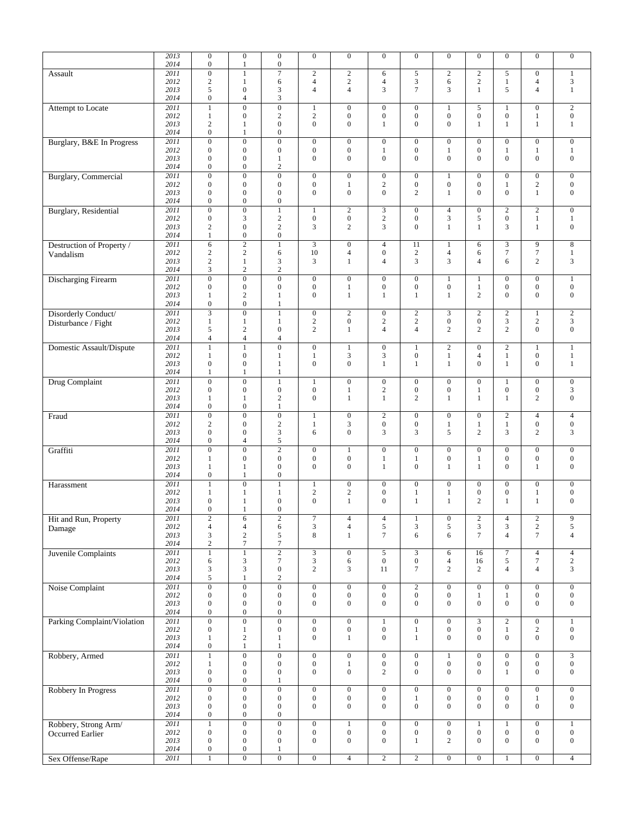|                                 | 2013         | $\overline{0}$            | $\overline{0}$                     | $\overline{0}$                   | $\overline{0}$   | $\overline{0}$   | $\mathbf{0}$     | $\overline{0}$   | $\overline{0}$                     | $\overline{0}$                     | $\mathbf{0}$                       | $\overline{0}$   | $\overline{0}$   |
|---------------------------------|--------------|---------------------------|------------------------------------|----------------------------------|------------------|------------------|------------------|------------------|------------------------------------|------------------------------------|------------------------------------|------------------|------------------|
|                                 | 2014         | $\boldsymbol{0}$          | $\mathbf{1}$                       | $\boldsymbol{0}$                 |                  |                  |                  |                  |                                    |                                    |                                    |                  |                  |
| Assault                         | 2011         | $\overline{0}$            | $\mathbf{1}$                       | $\overline{7}$                   | $\mathbf{2}$     | $\overline{c}$   | 6                | 5                | $\overline{c}$                     | $\sqrt{2}$                         | 5                                  | $\mathbf{0}$     | $\mathbf{1}$     |
|                                 | 2012         | $\overline{c}$            | $\mathbf{1}$                       | 6                                | $\overline{4}$   | $\overline{c}$   | $\overline{4}$   | 3                | 6                                  | $\mathbf{2}$                       | $\mathbf{1}$                       | $\overline{4}$   | 3                |
|                                 | 2013         | 5                         | $\overline{0}$                     | 3                                | $\overline{4}$   | $\overline{4}$   | 3                | $\overline{7}$   | 3                                  | $\mathbf{1}$                       | 5                                  | $\overline{4}$   | $\mathbf{1}$     |
|                                 | 2014         | $\boldsymbol{0}$          | $\overline{4}$                     | 3                                |                  |                  |                  |                  |                                    |                                    |                                    |                  |                  |
| Attempt to Locate               | 2011         | $\mathbf{1}$              | $\overline{0}$                     | $\boldsymbol{0}$                 | 1                | $\boldsymbol{0}$ | $\mathbf{0}$     | $\boldsymbol{0}$ | $\mathbf{1}$                       | 5                                  | 1                                  | $\boldsymbol{0}$ | $\overline{c}$   |
|                                 | 2012         | $\mathbf{1}$              | $\boldsymbol{0}$                   | $\overline{c}$                   | $\overline{c}$   | $\boldsymbol{0}$ | $\boldsymbol{0}$ | $\boldsymbol{0}$ | $\boldsymbol{0}$                   | $\boldsymbol{0}$                   | $\boldsymbol{0}$                   | $\mathbf{1}$     | $\boldsymbol{0}$ |
|                                 | 2013         | $\overline{2}$            | 1                                  | $\boldsymbol{0}$                 | $\overline{0}$   | $\overline{0}$   | 1                | $\overline{0}$   | $\mathbf{0}$                       | 1                                  | 1                                  | 1                | 1                |
|                                 | 2014         | $\overline{0}$            | $\mathbf{1}$                       | $\boldsymbol{0}$                 |                  |                  |                  |                  |                                    |                                    |                                    |                  |                  |
| Burglary, B&E In Progress       | 2011         | $\overline{0}$            | $\mathbf{0}$                       | $\boldsymbol{0}$                 | $\overline{0}$   | $\boldsymbol{0}$ | $\mathbf{0}$     | $\overline{0}$   | $\boldsymbol{0}$                   | $\mathbf{0}$                       | $\boldsymbol{0}$                   | $\boldsymbol{0}$ | $\boldsymbol{0}$ |
|                                 | 2012         | $\boldsymbol{0}$          | $\boldsymbol{0}$                   | $\boldsymbol{0}$                 | $\boldsymbol{0}$ | $\boldsymbol{0}$ | $\mathbf{1}$     | $\boldsymbol{0}$ | $\mathbf{1}$                       | $\boldsymbol{0}$                   | 1                                  | $\mathbf{1}$     | $\mathbf{1}$     |
|                                 |              |                           |                                    |                                  | $\overline{0}$   |                  |                  | $\overline{0}$   | $\mathbf{0}$                       | $\Omega$                           | $\overline{0}$                     |                  |                  |
|                                 | 2013         | $\mathbf{0}$              | $\boldsymbol{0}$                   | $\mathbf{1}$                     |                  | $\mathbf{0}$     | $\boldsymbol{0}$ |                  |                                    |                                    |                                    | $\boldsymbol{0}$ | $\boldsymbol{0}$ |
|                                 | 2014         | $\overline{0}$            | $\boldsymbol{0}$                   | $\overline{c}$                   |                  |                  |                  |                  |                                    |                                    |                                    |                  |                  |
| <b>Burglary</b> , Commercial    | 2011         | $\boldsymbol{0}$          | $\boldsymbol{0}$                   | $\boldsymbol{0}$                 | $\boldsymbol{0}$ | $\boldsymbol{0}$ | $\boldsymbol{0}$ | $\boldsymbol{0}$ | $\mathbf{1}$                       | $\boldsymbol{0}$                   | $\boldsymbol{0}$                   | $\boldsymbol{0}$ | $\boldsymbol{0}$ |
|                                 | 2012         | $\boldsymbol{0}$          | $\boldsymbol{0}$                   | $\boldsymbol{0}$                 | $\boldsymbol{0}$ | 1                | $\mathbf{2}$     | $\boldsymbol{0}$ | $\boldsymbol{0}$                   | $\boldsymbol{0}$                   | 1                                  | $\sqrt{2}$       | $\boldsymbol{0}$ |
|                                 | 2013         | $\boldsymbol{0}$          | $\boldsymbol{0}$                   | $\boldsymbol{0}$                 | $\overline{0}$   | $\boldsymbol{0}$ | $\boldsymbol{0}$ | 2                | $\mathbf{1}$                       | $\Omega$                           | $\mathbf{0}$                       | $\mathbf{1}$     | $\boldsymbol{0}$ |
|                                 | 2014         | $\overline{0}$            | $\overline{0}$                     | $\overline{0}$                   |                  |                  |                  |                  |                                    |                                    |                                    |                  |                  |
| <b>Burglary</b> , Residential   | 2011         | $\boldsymbol{0}$          | $\overline{0}$                     | $\mathbf{1}$                     | $\mathbf{1}$     | $\mathbf{2}$     | 3                | $\boldsymbol{0}$ | $\overline{4}$                     | $\boldsymbol{0}$                   | $\overline{c}$                     | $\overline{2}$   | $\overline{0}$   |
|                                 | 2012         | $\boldsymbol{0}$          | 3                                  | $\sqrt{2}$                       | $\boldsymbol{0}$ | $\boldsymbol{0}$ | $\sqrt{2}$       | $\boldsymbol{0}$ | 3                                  | 5                                  | $\boldsymbol{0}$                   | 1                | 1                |
|                                 | 2013         | $\overline{c}$            | $\boldsymbol{0}$                   | $\mathbf{2}$                     | 3                | $\overline{c}$   | 3                | $\overline{0}$   | $\mathbf{1}$                       | $\mathbf{1}$                       | 3                                  | $\mathbf{1}$     | $\boldsymbol{0}$ |
|                                 | 2014         | $\mathbf{1}$              | $\boldsymbol{0}$                   | $\overline{0}$                   |                  |                  |                  |                  |                                    |                                    |                                    |                  |                  |
| Destruction of Property /       | 2011         | 6                         | $\overline{2}$                     | $\,1$                            | 3                | $\boldsymbol{0}$ | $\overline{4}$   | 11               | $\mathbf{1}$                       | 6                                  | 3                                  | 9                | $\,8\,$          |
|                                 | 2012         | $\overline{c}$            | $\mathbf{2}$                       | 6                                | 10               | 4                | $\boldsymbol{0}$ | 2                | $\overline{4}$                     | 6                                  | 7                                  | $\tau$           | $\mathbf{1}$     |
| Vandalism                       | 2013         | $\boldsymbol{2}$          | $\mathbf{1}$                       | 3                                | 3                | $\mathbf{1}$     | $\overline{4}$   | 3                | 3                                  | $\overline{4}$                     | 6                                  | $\overline{c}$   | $\mathfrak{Z}$   |
|                                 | 2014         | 3                         | $\sqrt{2}$                         | $\sqrt{2}$                       |                  |                  |                  |                  |                                    |                                    |                                    |                  |                  |
|                                 |              |                           |                                    |                                  |                  |                  |                  |                  |                                    |                                    |                                    |                  |                  |
| <b>Discharging Firearm</b>      | 2011         | $\overline{0}$            | $\overline{0}$                     | $\overline{0}$                   | $\overline{0}$   | $\boldsymbol{0}$ | $\overline{0}$   | $\overline{0}$   | $\mathbf{1}$                       | $\mathbf{1}$                       | $\overline{0}$                     | $\overline{0}$   | $\overline{1}$   |
|                                 | 2012         | $\boldsymbol{0}$          | $\boldsymbol{0}$                   | $\boldsymbol{0}$                 | $\boldsymbol{0}$ | $\mathbf{1}$     | $\boldsymbol{0}$ | $\boldsymbol{0}$ | $\boldsymbol{0}$                   | $\mathbf{1}$                       | $\boldsymbol{0}$                   | $\boldsymbol{0}$ | $\boldsymbol{0}$ |
|                                 | 2013         | $\mathbf{1}$              | $\overline{c}$                     | $\mathbf{1}$                     | $\overline{0}$   | $\mathbf{1}$     | $\mathbf{1}$     | $\mathbf{1}$     | $\mathbf{1}$                       | $\overline{c}$                     | $\mathbf{0}$                       | $\boldsymbol{0}$ | $\boldsymbol{0}$ |
|                                 | 2014         | $\boldsymbol{0}$          | $\boldsymbol{0}$                   | 1                                |                  |                  |                  |                  |                                    |                                    |                                    |                  |                  |
| Disorderly Conduct/             | 2011         | $\overline{3}$            | $\overline{0}$                     | $\mathbf{1}$                     | $\boldsymbol{0}$ | $\overline{c}$   | $\boldsymbol{0}$ | $\overline{c}$   | 3                                  | $\overline{2}$                     | $\overline{c}$                     | $\mathbf{1}$     | $\sqrt{2}$       |
| Disturbance / Fight             | 2012         | $\mathbf{1}$              | $\mathbf{1}$                       | $\mathbf{1}$                     | $\sqrt{2}$       | $\boldsymbol{0}$ | $\boldsymbol{2}$ | $\boldsymbol{2}$ | $\boldsymbol{0}$                   | $\boldsymbol{0}$                   | 3                                  | $\sqrt{2}$       | 3                |
|                                 | 2013         | 5                         | $\overline{c}$                     | $\boldsymbol{0}$                 | $\overline{2}$   | $\mathbf{1}$     | $\overline{4}$   | $\overline{4}$   | 2                                  | $\mathfrak{2}$                     | $\overline{c}$                     | $\mathbf{0}$     | $\boldsymbol{0}$ |
|                                 | 2014         | $\overline{4}$            | $\overline{4}$                     | 4                                |                  |                  |                  |                  |                                    |                                    |                                    |                  |                  |
| <b>Domestic Assault/Dispute</b> | 2011         | $\mathbf{1}$              | $\mathbf{1}$                       | $\overline{0}$                   | $\overline{0}$   | $\mathbf{1}$     | $\boldsymbol{0}$ | $\mathbf{1}$     | $\overline{2}$                     | $\mathbf{0}$                       | $\overline{2}$                     | $\mathbf{1}$     | $\mathbf{1}$     |
|                                 | 2012         | $\mathbf{1}$              | $\boldsymbol{0}$                   | $\mathbf{1}$                     | $\mathbf{1}$     | 3                | 3                | $\boldsymbol{0}$ | $\mathbf{1}$                       | $\overline{4}$                     | $\mathbf{1}$                       | $\boldsymbol{0}$ | $\mathbf{1}$     |
|                                 | 2013         | $\boldsymbol{0}$          | $\boldsymbol{0}$                   | 1                                | $\boldsymbol{0}$ | $\mathbf{0}$     | $\mathbf{1}$     | 1                | 1                                  | $\mathbf{0}$                       | 1                                  | $\boldsymbol{0}$ | 1                |
|                                 | 2014         | $\mathbf{1}$              | $\mathbf{1}$                       | $\mathbf{1}$                     |                  |                  |                  |                  |                                    |                                    |                                    |                  |                  |
|                                 |              |                           |                                    |                                  |                  |                  |                  |                  |                                    |                                    |                                    |                  |                  |
| <b>Drug Complaint</b>           | 2011         | $\boldsymbol{0}$          | $\overline{0}$                     | $\mathbf{1}$                     | $\mathbf{1}$     | $\boldsymbol{0}$ | $\boldsymbol{0}$ | $\overline{0}$   | $\boldsymbol{0}$                   | $\mathbf{0}$                       | $\mathbf{1}$                       | $\boldsymbol{0}$ | $\boldsymbol{0}$ |
|                                 | 2012         | $\boldsymbol{0}$          | $\boldsymbol{0}$                   | $\boldsymbol{0}$                 | $\boldsymbol{0}$ | $\mathbf{1}$     | $\boldsymbol{2}$ | $\boldsymbol{0}$ | $\boldsymbol{0}$                   | $\mathbf{1}$                       | $\boldsymbol{0}$                   | $\boldsymbol{0}$ | 3                |
|                                 | 2013         | 1                         | 1                                  | $\overline{\mathbf{c}}$          | $\overline{0}$   | $\mathbf{1}$     | $\mathbf{1}$     | $\overline{2}$   | $\mathbf{1}$                       | $\mathbf{1}$                       | 1                                  | $\mathbf{2}$     | $\boldsymbol{0}$ |
|                                 | 2014         | $\boldsymbol{0}$          | $\boldsymbol{0}$                   | $\mathbf{1}$                     |                  |                  |                  |                  |                                    |                                    |                                    |                  |                  |
|                                 |              |                           |                                    |                                  |                  |                  |                  |                  |                                    |                                    |                                    |                  |                  |
| Fraud                           | 2011         | $\boldsymbol{0}$          | $\overline{0}$                     | $\boldsymbol{0}$                 | $\mathbf{1}$     | $\boldsymbol{0}$ | $\sqrt{2}$       | $\boldsymbol{0}$ | $\boldsymbol{0}$                   | $\boldsymbol{0}$                   | $\boldsymbol{2}$                   | $\overline{4}$   | $\overline{4}$   |
|                                 | 2012         | $\sqrt{2}$                | $\boldsymbol{0}$                   | $\sqrt{2}$                       | 1                | 3                | $\boldsymbol{0}$ | $\boldsymbol{0}$ | $\mathbf{1}$                       | $\mathbf{1}$                       | $\mathbf{1}$                       | $\boldsymbol{0}$ | $\boldsymbol{0}$ |
|                                 | 2013         | $\boldsymbol{0}$          | $\boldsymbol{0}$                   | 3                                | 6                | $\boldsymbol{0}$ | 3                | 3                | 5                                  | $\overline{c}$                     | 3                                  | 2                | 3                |
|                                 | 2014         | $\overline{0}$            | $\overline{4}$                     | 5                                |                  |                  |                  |                  |                                    |                                    |                                    |                  |                  |
|                                 |              |                           |                                    |                                  |                  |                  |                  |                  |                                    |                                    |                                    |                  |                  |
| Graffiti                        | 2011         | $\overline{0}$            | $\overline{0}$                     | $\overline{2}$                   | $\boldsymbol{0}$ | $\mathbf{1}$     | $\boldsymbol{0}$ | $\boldsymbol{0}$ | $\boldsymbol{0}$                   | $\boldsymbol{0}$                   | $\boldsymbol{0}$                   | $\boldsymbol{0}$ | $\boldsymbol{0}$ |
|                                 | 2012         | 1                         | $\boldsymbol{0}$                   | $\boldsymbol{0}$                 | $\boldsymbol{0}$ | $\boldsymbol{0}$ | $\mathbf{1}$     | $\mathbf{1}$     | $\boldsymbol{0}$                   | 1                                  | $\boldsymbol{0}$                   | $\boldsymbol{0}$ | $\boldsymbol{0}$ |
|                                 | 2013         | $\mathbf{1}$              | $\mathbf{1}$                       | $\boldsymbol{0}$                 | $\mathbf{0}$     | $\mathbf{0}$     | $\mathbf{1}$     | $\overline{0}$   | $\mathbf{1}$                       | $\mathbf{1}$                       | $\mathbf{0}$                       | $\mathbf{1}$     | $\boldsymbol{0}$ |
|                                 | 2014         | $\overline{0}$            | $\mathbf{1}$                       | $\boldsymbol{0}$                 |                  |                  |                  |                  |                                    |                                    |                                    |                  |                  |
| Harassment                      | 2011         | $\mathbf{1}$              | $\overline{0}$                     | $\mathbf{1}$                     | $\mathbf{1}$     | $\boldsymbol{0}$ | $\boldsymbol{0}$ | $\boldsymbol{0}$ | $\boldsymbol{0}$                   | $\boldsymbol{0}$                   | $\boldsymbol{0}$                   | $\boldsymbol{0}$ | $\overline{0}$   |
|                                 | 2012         | 1                         | 1                                  | 1                                | $\sqrt{2}$       | $\sqrt{2}$       | $\boldsymbol{0}$ | $\mathbf{1}$     | $\mathbf{1}$                       | $\boldsymbol{0}$                   | $\boldsymbol{0}$                   | $\mathbf{1}$     | $\boldsymbol{0}$ |
|                                 | 2013         | $\boldsymbol{0}$          | 1                                  | $\boldsymbol{0}$                 | $\mathbf{0}$     | $\mathbf{1}$     | $\boldsymbol{0}$ | $\mathbf{1}$     | $\mathbf{1}$                       | $\overline{c}$                     | 1                                  | $\mathbf{1}$     | $\overline{0}$   |
|                                 | 2014         | $\Omega$                  | 1                                  | $\theta$                         |                  |                  |                  |                  |                                    |                                    |                                    |                  |                  |
| Hit and Run, Property           | 2011         | $\overline{c}$            | 6                                  | $\overline{c}$                   | $\tau$           | 4                | 4                | 1                | $\boldsymbol{0}$                   | $\sqrt{2}$                         | 4                                  | $\overline{c}$   | 9                |
|                                 | 2012         | $\overline{4}$            | $\overline{4}$                     | 6                                | 3                | $\overline{4}$   | 5                | 3                | 5                                  | 3                                  | 3                                  | $\sqrt{2}$       | $\sqrt{5}$       |
| Damage                          | 2013         | 3                         | $\sqrt{2}$                         | 5                                | 8                | $\mathbf{1}$     | $\tau$           | 6                | 6                                  | $\overline{7}$                     | $\overline{4}$                     | $\tau$           | $\overline{4}$   |
|                                 | 2014         | $\overline{c}$            | $\tau$                             | $\tau$                           |                  |                  |                  |                  |                                    |                                    |                                    |                  |                  |
|                                 | 2011         | $\mathbf{1}$              | $\,1$                              | $\overline{2}$                   | $\overline{3}$   | $\boldsymbol{0}$ | 5                | 3                | 6                                  | 16                                 | $\boldsymbol{7}$                   | $\overline{4}$   | $\overline{4}$   |
| Juvenile Complaints             | 2012         | 6                         | 3                                  | $\tau$                           | 3                | 6                | $\boldsymbol{0}$ | $\boldsymbol{0}$ | $\overline{4}$                     | 16                                 | 5                                  | $\tau$           | $\overline{c}$   |
|                                 | 2013         | 3                         | 3                                  | $\boldsymbol{0}$                 | $\overline{c}$   | 3                | 11               | $\tau$           | $\overline{c}$                     | $\overline{c}$                     | $\overline{4}$                     | $\overline{4}$   | 3                |
|                                 | 2014         | 5                         | $\mathbf{1}$                       | $\sqrt{2}$                       |                  |                  |                  |                  |                                    |                                    |                                    |                  |                  |
|                                 |              |                           |                                    |                                  |                  |                  |                  |                  |                                    |                                    |                                    |                  |                  |
| Noise Complaint                 | 2011         | $\overline{0}$            | $\overline{0}$                     | $\overline{0}$                   | $\overline{0}$   | $\boldsymbol{0}$ | $\boldsymbol{0}$ | $\overline{c}$   | $\boldsymbol{0}$                   | $\mathbf{0}$                       | $\mathbf{0}$                       | $\boldsymbol{0}$ | $\mathbf{0}$     |
|                                 | 2012         | $\boldsymbol{0}$          | $\boldsymbol{0}$                   | $\mathbf{0}$                     | $\boldsymbol{0}$ | $\boldsymbol{0}$ | $\boldsymbol{0}$ | $\boldsymbol{0}$ | $\mathbf{0}$                       | $\mathbf{1}$                       | $\mathbf{1}$                       | $\boldsymbol{0}$ | $\boldsymbol{0}$ |
|                                 | 2013         | $\boldsymbol{0}$          | $\boldsymbol{0}$                   | $\boldsymbol{0}$                 | $\boldsymbol{0}$ | $\boldsymbol{0}$ | $\boldsymbol{0}$ | $\boldsymbol{0}$ | $\boldsymbol{0}$                   | $\overline{0}$                     | $\boldsymbol{0}$                   | $\boldsymbol{0}$ | $\boldsymbol{0}$ |
|                                 | 2014         | $\boldsymbol{0}$          | $\boldsymbol{0}$                   | $\boldsymbol{0}$                 |                  |                  |                  |                  |                                    |                                    |                                    |                  |                  |
| Parking Complaint/Violation     | 2011         | $\boldsymbol{0}$          | $\overline{0}$                     | $\boldsymbol{0}$                 | $\boldsymbol{0}$ | $\boldsymbol{0}$ | $\mathbf{1}$     | $\boldsymbol{0}$ | $\boldsymbol{0}$                   | $\mathfrak{Z}$                     | $\overline{c}$                     | $\boldsymbol{0}$ | $\mathbf{1}$     |
|                                 | 2012         | $\boldsymbol{0}$          | $\mathbf{1}$                       | $\boldsymbol{0}$                 | $\boldsymbol{0}$ | $\boldsymbol{0}$ | $\overline{0}$   | $\mathbf{1}$     | $\boldsymbol{0}$                   | $\mathbf{0}$                       | $\mathbf{1}$                       | $\overline{c}$   | $\boldsymbol{0}$ |
|                                 | 2013         | $\mathbf{1}$              | $\sqrt{2}$                         | $\mathbf{1}$                     | $\overline{0}$   | $\mathbf{1}$     | $\mathbf{0}$     | $\mathbf{1}$     | $\overline{0}$                     | $\overline{0}$                     | $\overline{0}$                     | $\mathbf{0}$     | $\boldsymbol{0}$ |
|                                 | 2014         | $\boldsymbol{0}$          | $\,1$                              | $\mathbf{1}$                     |                  |                  |                  |                  |                                    |                                    |                                    |                  |                  |
| Robbery, Armed                  | 2011         | $\,1$                     | $\overline{0}$                     | $\mathbf{0}$                     | $\overline{0}$   | $\boldsymbol{0}$ | $\boldsymbol{0}$ | $\overline{0}$   | $\mathbf{1}$                       | $\mathbf{0}$                       | $\mathbf{0}$                       | $\mathbf{0}$     | $\overline{3}$   |
|                                 | 2012         | $\mathbf{1}$              | $\boldsymbol{0}$                   | $\boldsymbol{0}$                 | $\boldsymbol{0}$ | $\mathbf{1}$     | $\boldsymbol{0}$ | $\boldsymbol{0}$ | $\boldsymbol{0}$                   | $\mathbf{0}$                       | $\boldsymbol{0}$                   | $\boldsymbol{0}$ | $\boldsymbol{0}$ |
|                                 | 2013         | $\mathbf{0}$              | $\boldsymbol{0}$                   | $\boldsymbol{0}$                 | $\overline{0}$   | $\boldsymbol{0}$ | $\sqrt{2}$       | $\overline{0}$   | $\boldsymbol{0}$                   | $\overline{0}$                     | $\mathbf{1}$                       | $\boldsymbol{0}$ | $\boldsymbol{0}$ |
|                                 | 2014         | $\boldsymbol{0}$          | $\boldsymbol{0}$                   | $\mathbf{1}$                     |                  |                  |                  |                  |                                    |                                    |                                    |                  |                  |
|                                 |              |                           |                                    |                                  |                  |                  |                  |                  |                                    |                                    |                                    |                  |                  |
| Robbery In Progress             | 2011         | $\boldsymbol{0}$          | $\boldsymbol{0}$                   | $\boldsymbol{0}$                 | $\boldsymbol{0}$ | $\boldsymbol{0}$ | $\boldsymbol{0}$ | $\boldsymbol{0}$ | $\boldsymbol{0}$                   | $\boldsymbol{0}$                   | $\boldsymbol{0}$                   | $\boldsymbol{0}$ | $\boldsymbol{0}$ |
|                                 | 2012         | $\boldsymbol{0}$          | $\boldsymbol{0}$                   | $\mathbf{0}$                     | $\boldsymbol{0}$ | $\boldsymbol{0}$ | $\boldsymbol{0}$ | $\mathbf{1}$     | $\boldsymbol{0}$<br>$\overline{0}$ | $\boldsymbol{0}$<br>$\overline{0}$ | $\boldsymbol{0}$<br>$\overline{0}$ | $\mathbf{1}$     | $\boldsymbol{0}$ |
|                                 | 2013         | $\boldsymbol{0}$          | $\boldsymbol{0}$                   | $\boldsymbol{0}$                 | $\overline{0}$   | $\mathbf{0}$     | $\mathbf{0}$     | $\mathbf{0}$     |                                    |                                    |                                    | $\mathbf{0}$     | $\boldsymbol{0}$ |
|                                 | 2014         | $\overline{0}$            | $\boldsymbol{0}$                   | $\boldsymbol{0}$                 |                  |                  |                  |                  |                                    |                                    |                                    |                  |                  |
| Robbery, Strong Arm/            | 2011         | $\,1$                     | $\overline{0}$                     | $\overline{0}$                   | $\overline{0}$   | $\mathbf{1}$     | $\overline{0}$   | $\mathbf{0}$     | $\overline{0}$                     | $\mathbf{1}$                       | $\mathbf{1}$                       | $\overline{0}$   | $\mathbf{1}$     |
| Occurred Earlier                | 2012         | $\boldsymbol{0}$          | $\boldsymbol{0}$                   | $\boldsymbol{0}$                 | $\boldsymbol{0}$ | $\boldsymbol{0}$ | $\boldsymbol{0}$ | $\boldsymbol{0}$ | $\boldsymbol{0}$                   | $\mathbf{0}$                       | $\boldsymbol{0}$                   | $\boldsymbol{0}$ | $\boldsymbol{0}$ |
|                                 | 2013         | $\boldsymbol{0}$          | $\boldsymbol{0}$                   | $\boldsymbol{0}$                 | $\overline{0}$   | $\boldsymbol{0}$ | $\boldsymbol{0}$ | $\mathbf{1}$     | $\overline{c}$                     | $\overline{0}$                     | $\boldsymbol{0}$                   | $\mathbf{0}$     | $\boldsymbol{0}$ |
| Sex Offense/Rape                | 2014<br>2011 | $\boldsymbol{0}$<br>$\,1$ | $\boldsymbol{0}$<br>$\overline{0}$ | $\mathbf{1}$<br>$\boldsymbol{0}$ | $\overline{0}$   | $\overline{4}$   | $\overline{2}$   | $\overline{2}$   | $\boldsymbol{0}$                   | $\boldsymbol{0}$                   | $\,1$                              | $\boldsymbol{0}$ | $\overline{4}$   |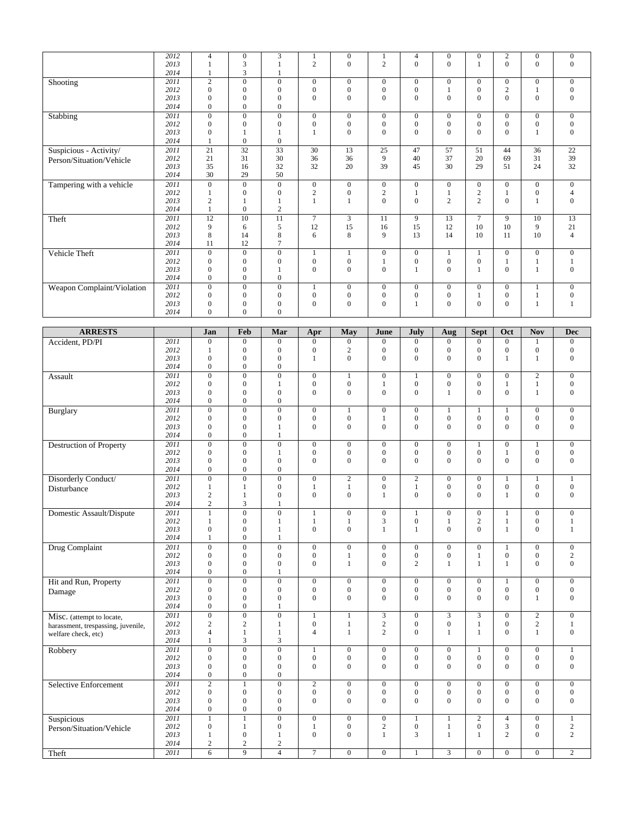|                            | 2012 | $\overline{4}$ | $\mathbf{0}$ | 3                |                | $\mathbf{0}$   |                | $\overline{4}$ | $\mathbf{0}$   | $\mathbf{0}$   | $\overline{c}$ | $\mathbf{0}$   | $\mathbf{0}$   |
|----------------------------|------|----------------|--------------|------------------|----------------|----------------|----------------|----------------|----------------|----------------|----------------|----------------|----------------|
|                            | 2013 |                | 3            |                  | $\overline{2}$ | $\mathbf{0}$   | $\overline{2}$ | $\Omega$       | $\overline{0}$ |                | $\Omega$       | $\mathbf{0}$   | $\mathbf{0}$   |
|                            | 2014 |                | 3            |                  |                |                |                |                |                |                |                |                |                |
| Shooting                   | 2011 | 2              | $\mathbf{0}$ | $\mathbf{0}$     | $\mathbf{0}$   | $\mathbf{0}$   | $\overline{0}$ | $\overline{0}$ | $\mathbf{0}$   | $\Omega$       | $\mathbf{0}$   | $\mathbf{0}$   | $\overline{0}$ |
|                            | 2012 | $\mathbf{0}$   | $\mathbf{0}$ | $\mathbf{0}$     | $\mathbf{0}$   | $\overline{0}$ | $\mathbf{0}$   | $\mathbf{0}$   |                | $\theta$       | $\overline{c}$ |                | $\Omega$       |
|                            | 2013 | $\Omega$       | $\Omega$     | $\Omega$         | $\Omega$       | $\Omega$       | $\theta$       | $\Omega$       | $\Omega$       | $\Omega$       | $\Omega$       | $\theta$       | $\Omega$       |
|                            | 2014 | $\Omega$       | $\Omega$     | $\mathbf{0}$     |                |                |                |                |                |                |                |                |                |
| Stabbing                   | 2011 | $\Omega$       | $\mathbf{0}$ | $\mathbf{0}$     | $\mathbf{0}$   | $\mathbf{0}$   | $\mathbf{0}$   | $\mathbf{0}$   | $\mathbf{0}$   | $\mathbf{0}$   | $\Omega$       | $\mathbf{0}$   | $\overline{0}$ |
|                            | 2012 | $\Omega$       | $\mathbf{0}$ | $\mathbf{0}$     | $\Omega$       | $\mathbf{0}$   | $\mathbf{0}$   | $\Omega$       | $\mathbf{0}$   | $\Omega$       | $\Omega$       | $\mathbf{0}$   | $\Omega$       |
|                            | 2013 | $\Omega$       |              |                  |                | $\Omega$       | $\mathbf{0}$   | $\Omega$       | $\Omega$       | $\Omega$       | $\Omega$       | 1              | $\mathbf{0}$   |
|                            | 2014 |                | $\theta$     | $\Omega$         |                |                |                |                |                |                |                |                |                |
| Suspicious - Activity/     | 2011 | 21             | 32           | 33               | 30             | 13             | 25             | 47             | 57             | 51             | 44             | 36             | 22             |
| Person/Situation/Vehicle   | 2012 | 21             | 31           | 30               | 36             | 36             | 9              | 40             | 37             | 20             | 69             | 31             | 39             |
|                            | 2013 | 35             | 16           | 32               | 32             | 20             | 39             | 45             | 30             | 29             | 51             | 24             | 32             |
|                            | 2014 | 30             | 29           | 50               |                |                |                |                |                |                |                |                |                |
| Tampering with a vehicle   | 2011 | $\Omega$       | $\mathbf{0}$ | $\mathbf{0}$     | $\mathbf{0}$   | $\mathbf{0}$   | $\overline{0}$ | $\overline{0}$ | $\mathbf{0}$   | $\Omega$       | $\Omega$       | $\overline{0}$ | $\overline{0}$ |
|                            | 2012 |                | $\mathbf{0}$ | $\mathbf{0}$     | $\overline{2}$ | $\mathbf{0}$   | $\overline{2}$ |                |                | $\overline{2}$ |                | $\mathbf{0}$   | 4              |
|                            | 2013 | $\overline{2}$ |              |                  |                |                | $\overline{0}$ | $\mathbf{0}$   | $\overline{c}$ | $\overline{2}$ | $\Omega$       |                | $\overline{0}$ |
|                            | 2014 |                | $\theta$     | $\overline{2}$   |                |                |                |                |                |                |                |                |                |
| Theft                      | 2011 | 12             | 10           | 11               | $\overline{7}$ | 3              | 11             | 9              | 13             | $\overline{7}$ | 9              | 10             | 13             |
|                            | 2012 | 9              | 6            | 5                | 12             | 15             | 16             | 15             | 12             | 10             | 10             | 9              | 21             |
|                            | 2013 | 8              | 14           | 8                | 6              | 8              | 9              | 13             | 14             | 10             | 11             | 10             | $\overline{4}$ |
|                            | 2014 | 11             | 12           | $\tau$           |                |                |                |                |                |                |                |                |                |
| Vehicle Theft              | 2011 | $\mathbf{0}$   | $\mathbf{0}$ | $\mathbf{0}$     |                |                | $\mathbf{0}$   | $\overline{0}$ |                |                | $\Omega$       | $\mathbf{0}$   | $\overline{0}$ |
|                            | 2012 | $\Omega$       | $\mathbf{0}$ | $\mathbf{0}$     | $\mathbf{0}$   | $\overline{0}$ |                | $\mathbf{0}$   | $\mathbf{0}$   | $\theta$       |                |                |                |
|                            | 2013 | $\Omega$       | $\theta$     |                  | $\Omega$       | $\Omega$       | $\Omega$       |                | $\Omega$       |                | $\theta$       |                | $\Omega$       |
|                            | 2014 | $\Omega$       | $\Omega$     | $\overline{0}$   |                |                |                |                |                |                |                |                |                |
| Weapon Complaint/Violation | 2011 | $\overline{0}$ | $\mathbf{0}$ | $\boldsymbol{0}$ |                | $\mathbf{0}$   | $\mathbf{0}$   | $\mathbf{0}$   | $\mathbf{0}$   | $\mathbf{0}$   | $\mathbf{0}$   |                | $\overline{0}$ |
|                            | 2012 | $\Omega$       | $\mathbf{0}$ | $\mathbf{0}$     | $\mathbf{0}$   | $\mathbf{0}$   | $\mathbf{0}$   | $\mathbf{0}$   | $\mathbf{0}$   |                | $\mathbf{0}$   |                | $\mathbf{0}$   |
|                            | 2013 | $\Omega$       | $\mathbf{0}$ | $\boldsymbol{0}$ | $\Omega$       | $\Omega$       | $\mathbf{0}$   |                | $\mathbf{0}$   | $\Omega$       | $\Omega$       |                |                |
|                            | 2014 | $\Omega$       | $\Omega$     | $\Omega$         |                |                |                |                |                |                |                |                |                |

| <b>ARRESTS</b>                     |      | Jan              | Feb              | Mar              | Apr              | May              | June             | July             | Aug                     | Sept                    | Oct              | <b>Nov</b>       | <b>Dec</b>       |
|------------------------------------|------|------------------|------------------|------------------|------------------|------------------|------------------|------------------|-------------------------|-------------------------|------------------|------------------|------------------|
| Accident, PD/PI                    | 2011 | $\overline{0}$   | $\mathbf{0}$     | $\mathbf{0}$     | $\overline{0}$   | $\overline{0}$   | $\mathbf{0}$     | $\mathbf{0}$     | $\Omega$                | $\Omega$                | $\theta$         | $\mathbf{1}$     | $\overline{0}$   |
|                                    | 2012 | $\mathbf{1}$     | $\boldsymbol{0}$ | $\mathbf{0}$     | 0                | $\sqrt{2}$       | $\boldsymbol{0}$ | $\mathbf{0}$     | $\boldsymbol{0}$        | $\mathbf{0}$            | $\boldsymbol{0}$ | $\boldsymbol{0}$ | $\boldsymbol{0}$ |
|                                    | 2013 | $\mathbf{0}$     | $\overline{0}$   | $\overline{0}$   | 1                | $\overline{0}$   | $\mathbf{0}$     | $\Omega$         | $\Omega$                | $\mathbf{0}$            | $\mathbf{1}$     | 1                | $\mathbf{0}$     |
|                                    | 2014 | $\mathbf{0}$     | $\mathbf{0}$     | $\overline{0}$   |                  |                  |                  |                  |                         |                         |                  |                  |                  |
| Assault                            | 2011 | $\overline{0}$   | $\overline{0}$   | $\overline{0}$   | $\mathbf{0}$     | $\mathbf{1}$     | $\mathbf{0}$     | $\mathbf{1}$     | $\mathbf{0}$            | $\mathbf{0}$            | $\mathbf{0}$     | $\overline{2}$   | $\overline{0}$   |
|                                    | 2012 | $\mathbf{0}$     | $\mathbf{0}$     | $\mathbf{1}$     | $\boldsymbol{0}$ | $\boldsymbol{0}$ | $\mathbf{1}$     | $\boldsymbol{0}$ | $\boldsymbol{0}$        | $\mathbf{0}$            | $\mathbf{1}$     | 1                | $\boldsymbol{0}$ |
|                                    | 2013 | $\mathbf{0}$     | $\boldsymbol{0}$ | $\boldsymbol{0}$ | $\mathbf{0}$     | $\boldsymbol{0}$ | $\boldsymbol{0}$ | $\mathbf{0}$     | $\mathbf{1}$            | $\mathbf{0}$            | $\mathbf{0}$     | 1                | $\boldsymbol{0}$ |
|                                    | 2014 | $\mathbf{0}$     | $\mathbf{0}$     | $\mathbf{0}$     |                  |                  |                  |                  |                         |                         |                  |                  |                  |
| Burglary                           | 2011 | $\overline{0}$   | $\boldsymbol{0}$ | $\boldsymbol{0}$ | $\boldsymbol{0}$ | $\mathbf{1}$     | $\mathbf{0}$     | $\mathbf{0}$     | $\mathbf{1}$            | $\mathbf{1}$            | $\mathbf{1}$     | $\mathbf{0}$     | $\boldsymbol{0}$ |
|                                    | 2012 | $\mathbf{0}$     | $\mathbf{0}$     | $\boldsymbol{0}$ | $\boldsymbol{0}$ | $\boldsymbol{0}$ | $\mathbf{1}$     | $\mathbf{0}$     | $\boldsymbol{0}$        | $\boldsymbol{0}$        | $\overline{0}$   | $\mathbf{0}$     | $\boldsymbol{0}$ |
|                                    | 2013 | $\mathbf{0}$     | $\mathbf{0}$     | $\mathbf{1}$     | $\mathbf{0}$     | $\overline{0}$   | $\mathbf{0}$     | $\mathbf{0}$     | $\mathbf{0}$            | $\mathbf{0}$            | $\mathbf{0}$     | $\overline{0}$   | $\boldsymbol{0}$ |
|                                    | 2014 | $\mathbf{0}$     | $\mathbf{0}$     | 1                |                  |                  |                  |                  |                         |                         |                  |                  |                  |
| <b>Destruction of Property</b>     | 2011 | $\overline{0}$   | $\overline{0}$   | $\boldsymbol{0}$ | $\mathbf{0}$     | $\mathbf{0}$     | $\boldsymbol{0}$ | $\overline{0}$   | $\boldsymbol{0}$        | 1                       | $\mathbf{0}$     | $\mathbf{1}$     | $\mathbf{0}$     |
|                                    | 2012 | $\mathbf{0}$     | $\mathbf{0}$     | $\mathbf{1}$     | $\mathbf{0}$     | $\overline{0}$   | $\mathbf{0}$     | $\mathbf{0}$     | $\mathbf{0}$            | $\mathbf{0}$            | $\mathbf{1}$     | $\overline{0}$   | $\mathbf{0}$     |
|                                    | 2013 | $\mathbf{0}$     | $\mathbf{0}$     | $\mathbf{0}$     | $\Omega$         | $\theta$         | $\overline{0}$   | $\Omega$         | $\Omega$                | $\Omega$                | $\theta$         | $\Omega$         | $\mathbf{0}$     |
|                                    | 2014 | $\mathbf{0}$     | $\boldsymbol{0}$ | $\boldsymbol{0}$ |                  |                  |                  |                  |                         |                         |                  |                  |                  |
| Disorderly Conduct/                | 2011 | $\overline{0}$   | $\overline{0}$   | $\overline{0}$   | $\overline{0}$   | $\overline{c}$   | $\overline{0}$   | $\overline{2}$   | $\overline{0}$          | $\overline{0}$          | $\overline{1}$   | $\mathbf{1}$     | $\mathbf{1}$     |
| Disturbance                        | 2012 | $\mathbf{1}$     | $\mathbf{1}$     | $\boldsymbol{0}$ | $\mathbf{1}$     | $\mathbf{1}$     | $\boldsymbol{0}$ | $\mathbf{1}$     | $\boldsymbol{0}$        | $\mathbf{0}$            | $\boldsymbol{0}$ | $\boldsymbol{0}$ | $\boldsymbol{0}$ |
|                                    | 2013 | $\sqrt{2}$       | $\mathbf{1}$     | $\overline{0}$   | $\Omega$         | $\theta$         | $\mathbf{1}$     | $\Omega$         | $\Omega$                | $\Omega$                | $\mathbf{1}$     | $\mathbf{0}$     | $\mathbf{0}$     |
|                                    | 2014 | $\sqrt{2}$       | 3                | $\mathbf{1}$     |                  |                  |                  |                  |                         |                         |                  |                  |                  |
| Domestic Assault/Dispute           | 2011 | $\overline{1}$   | $\overline{0}$   | $\overline{0}$   | $\mathbf{1}$     | $\overline{0}$   | $\overline{0}$   | 1                | $\overline{0}$          | $\overline{0}$          | $\mathbf{1}$     | $\overline{0}$   | $\overline{0}$   |
|                                    | 2012 | $\mathbf{1}$     | $\overline{0}$   | $\mathbf{1}$     | 1                | $\mathbf{1}$     | 3                | $\boldsymbol{0}$ | 1                       | $\overline{c}$          | $\mathbf{1}$     | $\boldsymbol{0}$ | $\mathbf{1}$     |
|                                    | 2013 | $\mathbf{0}$     | $\boldsymbol{0}$ | 1                | $\overline{0}$   | $\mathbf{0}$     | $\mathbf{1}$     | -1               | $\mathbf{0}$            | $\mathbf{0}$            | $\mathbf{1}$     | $\overline{0}$   | $\mathbf{1}$     |
|                                    | 2014 | $\mathbf{1}$     | $\overline{0}$   | $\mathbf{1}$     |                  |                  |                  |                  |                         |                         |                  |                  |                  |
| Drug Complaint                     | 2011 | $\mathbf{0}$     | $\boldsymbol{0}$ | $\overline{0}$   | $\boldsymbol{0}$ | $\boldsymbol{0}$ | $\boldsymbol{0}$ | $\mathbf{0}$     | $\boldsymbol{0}$        | $\mathbf{0}$            | $\mathbf{1}$     | $\mathbf{0}$     | $\boldsymbol{0}$ |
|                                    | 2012 | $\mathbf{0}$     | $\overline{0}$   | $\mathbf{0}$     | $\overline{0}$   | $\mathbf{1}$     | $\boldsymbol{0}$ | $\boldsymbol{0}$ | $\overline{0}$          | $\mathbf{1}$            | $\overline{0}$   | $\overline{0}$   | $\overline{c}$   |
|                                    | 2013 | $\mathbf{0}$     | $\boldsymbol{0}$ | $\boldsymbol{0}$ | $\overline{0}$   | $\mathbf{1}$     | $\mathbf{0}$     | $\overline{2}$   | $\mathbf{1}$            | $\mathbf{1}$            | $\mathbf{1}$     | $\mathbf{0}$     | $\overline{0}$   |
|                                    | 2014 | $\mathbf{0}$     | $\overline{0}$   | $\mathbf{1}$     |                  |                  |                  |                  |                         |                         |                  |                  |                  |
| Hit and Run, Property              | 2011 | $\overline{0}$   | $\overline{0}$   | $\overline{0}$   | $\boldsymbol{0}$ | $\boldsymbol{0}$ | $\mathbf{0}$     | $\mathbf{0}$     | $\mathbf{0}$            | $\mathbf{0}$            | $\mathbf{1}$     | $\mathbf{0}$     | $\mathbf{0}$     |
| Damage                             | 2012 | $\mathbf{0}$     | $\mathbf{0}$     | $\mathbf{0}$     | $\mathbf{0}$     | $\boldsymbol{0}$ | $\mathbf{0}$     | $\mathbf{0}$     | $\boldsymbol{0}$        | $\mathbf{0}$            | $\boldsymbol{0}$ | $\mathbf{0}$     | $\boldsymbol{0}$ |
|                                    | 2013 | $\mathbf{0}$     | $\overline{0}$   | $\mathbf{0}$     | $\Omega$         | $\overline{0}$   | $\mathbf{0}$     | $\Omega$         | $\Omega$                | $\Omega$                | $\Omega$         | 1                | $\mathbf{0}$     |
|                                    | 2014 | $\mathbf{0}$     | $\overline{0}$   | 1                |                  |                  |                  |                  |                         |                         |                  |                  |                  |
| Misc. (attempt to locate,          | 2011 | $\overline{0}$   | $\overline{0}$   | $\overline{0}$   | 1                | $\mathbf{1}$     | 3                | $\mathbf{0}$     | $\overline{\mathbf{3}}$ | $\overline{\mathbf{3}}$ | $\overline{0}$   | $\overline{c}$   | $\mathbf{0}$     |
| harassment, trespassing, juvenile, | 2012 | $\mathbf{2}$     | $\overline{c}$   | $\mathbf{1}$     | $\mathbf{0}$     | $\mathbf{1}$     | $\sqrt{2}$       | $\mathbf{0}$     | $\overline{0}$          | $\mathbf{1}$            | $\mathbf{0}$     | $\boldsymbol{2}$ | 1                |
| welfare check, etc)                | 2013 | $\overline{4}$   | $\mathbf{1}$     | 1                | $\overline{4}$   | $\mathbf{1}$     | $\overline{c}$   | $\Omega$         | 1                       | $\mathbf{1}$            | $\Omega$         | $\mathbf{1}$     | $\overline{0}$   |
|                                    | 2014 | 1                | 3                | 3                |                  |                  |                  |                  |                         |                         |                  |                  |                  |
| Robbery                            | 2011 | $\boldsymbol{0}$ | $\overline{0}$   | $\overline{0}$   | $\mathbf{1}$     | $\boldsymbol{0}$ | $\mathbf{0}$     | $\boldsymbol{0}$ | $\mathbf{0}$            | $\mathbf{1}$            | $\boldsymbol{0}$ | $\mathbf{0}$     | $\mathbf{1}$     |
|                                    | 2012 | $\mathbf{0}$     | $\mathbf{0}$     | $\mathbf{0}$     | $\overline{0}$   | $\overline{0}$   | $\boldsymbol{0}$ | $\mathbf{0}$     | $\mathbf{0}$            | $\overline{0}$          | $\mathbf{0}$     | $\boldsymbol{0}$ | $\boldsymbol{0}$ |
|                                    | 2013 | $\mathbf{0}$     | $\boldsymbol{0}$ | $\mathbf{0}$     | $\mathbf{0}$     | $\mathbf{0}$     | $\mathbf{0}$     | $\mathbf{0}$     | $\mathbf{0}$            | $\mathbf{0}$            | $\mathbf{0}$     | $\overline{0}$   | $\mathbf{0}$     |
|                                    | 2014 | $\overline{0}$   | $\mathbf{0}$     | $\mathbf{0}$     |                  |                  |                  |                  |                         |                         |                  |                  |                  |
| Selective Enforcement              | 2011 | $\overline{2}$   | $\mathbf{1}$     | $\mathbf{0}$     | $\mathbf{2}$     | $\mathbf{0}$     | $\mathbf{0}$     | $\mathbf{0}$     | $\mathbf{0}$            | $\mathbf{0}$            | $\mathbf{0}$     | $\mathbf{0}$     | $\mathbf{0}$     |
|                                    | 2012 | $\mathbf{0}$     | $\overline{0}$   | $\mathbf{0}$     | $\mathbf{0}$     | $\overline{0}$   | $\boldsymbol{0}$ | $\mathbf{0}$     | $\overline{0}$          | $\boldsymbol{0}$        | $\overline{0}$   | $\boldsymbol{0}$ | $\boldsymbol{0}$ |
|                                    | 2013 | $\mathbf{0}$     | $\boldsymbol{0}$ | $\boldsymbol{0}$ | $\overline{0}$   | $\overline{0}$   | $\mathbf{0}$     | $\mathbf{0}$     | $\mathbf{0}$            | $\mathbf{0}$            | $\mathbf{0}$     | $\overline{0}$   | $\mathbf{0}$     |
|                                    | 2014 | $\mathbf{0}$     | $\boldsymbol{0}$ | $\boldsymbol{0}$ |                  |                  |                  |                  |                         |                         |                  |                  |                  |
| Suspicious                         | 2011 | $\overline{1}$   | $\mathbf{1}$     | $\overline{0}$   | $\boldsymbol{0}$ | $\overline{0}$   | $\mathbf{0}$     | 1                | $\mathbf{1}$            | $\overline{c}$          | $\overline{4}$   | $\mathbf{0}$     | 1                |
| Person/Situation/Vehicle           | 2012 | $\mathbf{0}$     | $\mathbf{1}$     | $\boldsymbol{0}$ | $\mathbf{1}$     | $\boldsymbol{0}$ | $\sqrt{2}$       | $\boldsymbol{0}$ | 1                       | $\boldsymbol{0}$        | 3                | $\mathbf{0}$     | $\overline{c}$   |
|                                    | 2013 | $\mathbf{1}$     | $\overline{0}$   | 1                | $\overline{0}$   | $\overline{0}$   | $\mathbf{1}$     | 3                | $\mathbf{1}$            | $\mathbf{1}$            | $\overline{c}$   | $\overline{0}$   | $\overline{c}$   |
|                                    | 2014 | $\mathbf{2}$     | $\mathbf{2}$     | $\mathfrak{2}$   |                  |                  |                  |                  |                         |                         |                  |                  |                  |
| Theft                              | 2011 | 6                | $\overline{9}$   | $\overline{4}$   | $\overline{7}$   | $\mathbf{0}$     | $\overline{0}$   | 1                | $\overline{3}$          | $\overline{0}$          | $\mathbf{0}$     | $\overline{0}$   | $\overline{2}$   |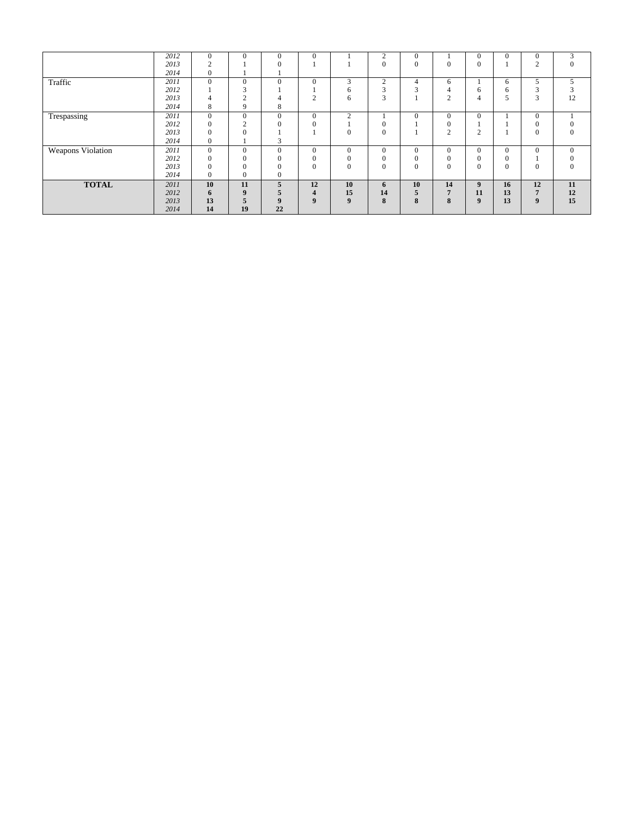|                          | 2012 | $\mathbf{0}$ | $\mathbf{0}$   | $\mathbf{0}$ | $\mathbf{0}$            |          | 2                | $\mathbf{0}$ |                | $\mathbf{0}$       | $\mathbf{0}$ | $\mathbf{0}$   | 3            |
|--------------------------|------|--------------|----------------|--------------|-------------------------|----------|------------------|--------------|----------------|--------------------|--------------|----------------|--------------|
|                          | 2013 | $\sim$       |                | 0            |                         |          | $\mathbf{0}$     | $\mathbf{0}$ | $\overline{0}$ | $\mathbf{0}$       |              | $\overline{c}$ | $^{(1)}$     |
|                          | 2014 | $\mathbf{0}$ |                |              |                         |          |                  |              |                |                    |              |                |              |
| Traffic                  | 2011 | $\mathbf{0}$ | $\theta$       | $\mathbf{0}$ | $\mathbf{0}$            | 3        | $\overline{2}$   | 4            | 6              |                    | 6            | 5              | 5            |
|                          | 2012 |              | $\sim$<br>J.   |              |                         | 6        | 3                | $\sim$       | 4              | 6                  | 6            | 3              |              |
|                          | 2013 |              | $\sim$<br>∠    |              | $\sim$<br>∠             | 6        | 3                |              | 2              | 4                  |              | 3              | 12           |
|                          | 2014 | 8            | 9              | 8            |                         |          |                  |              |                |                    |              |                |              |
| Trespassing              | 2011 | $\Omega$     | $\mathbf{0}$   | $\mathbf{0}$ | $\mathbf{0}$            | $\sim$   |                  | $\theta$     | $\mathbf{0}$   | $\theta$           |              | $\mathbf{0}$   |              |
|                          | 2012 | $\mathbf{0}$ | $\overline{2}$ | $\Omega$     | $\Omega$                |          | $\mathbf{0}$     |              | $\mathbf{0}$   |                    |              | $\mathbf{0}$   |              |
|                          | 2013 | $\mathbf{0}$ | $\mathbf{0}$   |              |                         | 0        | $\boldsymbol{0}$ |              | $\overline{2}$ | $\mathcal{L}$<br>∠ |              | $\mathbf{0}$   | $\mathbf{0}$ |
|                          | 2014 | $\mathbf{0}$ |                | 3            |                         |          |                  |              |                |                    |              |                |              |
| <b>Weapons Violation</b> | 2011 | $\mathbf{0}$ | $\mathbf{0}$   | $\Omega$     | $\Omega$                | $\Omega$ | $\mathbf{0}$     | $\Omega$     | $\Omega$       | $\Omega$           | $\Omega$     | $\mathbf{0}$   | $\mathbf{0}$ |
|                          | 2012 | $\Omega$     | $\mathbf{0}$   | $\Omega$     | 0                       |          | $\mathbf{0}$     | $\Omega$     | $\Omega$       | $\Omega$           | $\mathbf{0}$ |                |              |
|                          | 2013 | $\Omega$     | $\Omega$       | $\Omega$     | $\Omega$                | $\Omega$ | $\Omega$         | $\theta$     | $\Omega$       | $\theta$           | $\theta$     | $\mathbf{0}$   | $\Omega$     |
|                          | 2014 | $\Omega$     | $\Omega$       | $\mathbf{0}$ |                         |          |                  |              |                |                    |              |                |              |
| <b>TOTAL</b>             | 2011 | 10           | 11             | 5            | 12                      | 10       | 6                | 10           | 14             | 9                  | 16           | 12             | 11           |
|                          | 2012 | 6            | 9              | 5            | $\overline{\mathbf{4}}$ | 15       | 14               | 5            | 5              | 11                 | 13           | 7              | 12           |
|                          | 2013 | 13           | 5              | 9            | $\boldsymbol{q}$        | 9        | 8                | 8            | 8              | $\boldsymbol{9}$   | 13           | 9              | 15           |
|                          | 2014 | 14           | 19             | 22           |                         |          |                  |              |                |                    |              |                |              |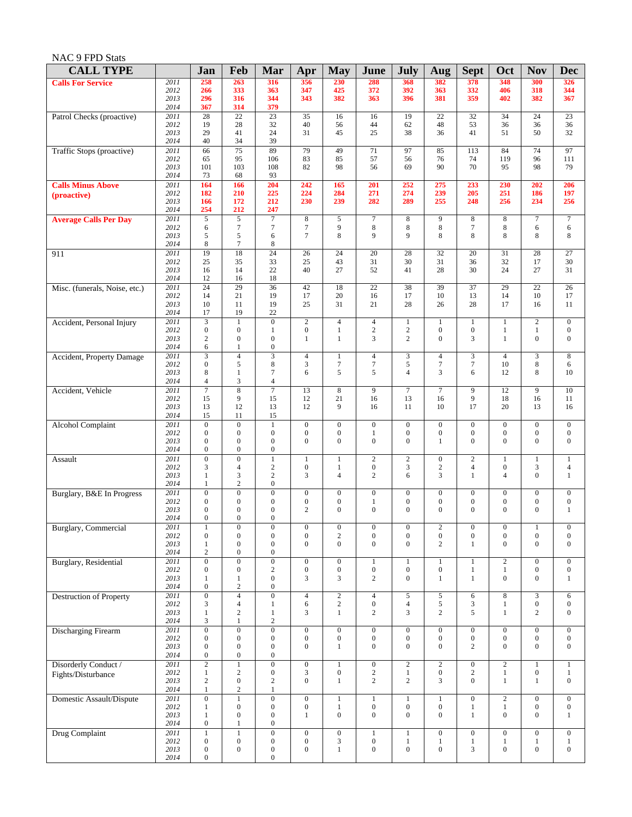| <b>CALL TYPE</b>               |              | Jan                                  | Feb                                  | Mar                                  | Apr              | <b>May</b>       | June             | <b>July</b>      | Aug              | <b>Sept</b>      | Oct              | <b>Nov</b>       | <b>Dec</b>         |
|--------------------------------|--------------|--------------------------------------|--------------------------------------|--------------------------------------|------------------|------------------|------------------|------------------|------------------|------------------|------------------|------------------|--------------------|
| <b>Calls For Service</b>       | 2011         | 258                                  | 263                                  | 316                                  | 356              | 230              | 288              | 368              | 382              | 378              | 348              | 300              | 326                |
|                                | 2012<br>2013 | 266<br>296                           | 333<br>316                           | 363<br>344                           | 347<br>343       | 425<br>382       | 372<br>363       | 392<br>396       | 363<br>381       | 332<br>359       | 406<br>402       | 318<br>382       | 344<br>367         |
|                                | 2014         | 367                                  | 314                                  | 379                                  |                  |                  |                  |                  |                  |                  |                  |                  |                    |
| Patrol Checks (proactive)      | 2011         | 28                                   | $\overline{22}$                      | 23                                   | 35               | 16               | 16               | 19               | $\overline{22}$  | 32               | 34               | 24               | 23                 |
|                                | 2012<br>2013 | 19<br>29                             | 28<br>41                             | 32<br>24                             | 40<br>31         | 56<br>45         | 44<br>25         | 62<br>38         | 48<br>36         | 53<br>41         | 36<br>51         | 36<br>50         | 36<br>32           |
|                                | 2014         | 40                                   | 34                                   | 39                                   |                  |                  |                  |                  |                  |                  |                  |                  |                    |
| Traffic Stops (proactive)      | 2011         | 66                                   | 75                                   | 89                                   | 79               | 49               | 71               | 97               | 85               | 113              | 84               | 74               | 97                 |
|                                | 2012<br>2013 | 65<br>101                            | 95<br>103                            | 106<br>108                           | 83               | 85<br>98         | 57               | 56               | 76<br>90         | 74<br>70         | 119              | 96<br>98         | 111<br>79          |
|                                | 2014         | 73                                   | 68                                   | 93                                   | 82               |                  | 56               | 69               |                  |                  | 95               |                  |                    |
| <b>Calls Minus Above</b>       | 2011         | 164                                  | 166                                  | 204                                  | 242              | 165              | 201              | 252              | 275              | 233              | 230              | 202              | 206                |
| (proactive)                    | 2012<br>2013 | 182<br>166                           | 210<br>172                           | 225<br>212                           | 224<br>230       | 284<br>239       | 271<br>282       | 274<br>289       | 239<br>255       | 205<br>248       | 251<br>256       | 186<br>234       | 197<br>256         |
|                                | 2014         | 254                                  | 212                                  | 247                                  |                  |                  |                  |                  |                  |                  |                  |                  |                    |
| <b>Average Calls Per Day</b>   | 2011         | 5                                    | 5                                    | $\tau$                               | 8                | 5                | $\boldsymbol{7}$ | 8                | 9                | $\,8\,$          | $\,8\,$          | $\tau$           | $\boldsymbol{7}$   |
|                                | 2012<br>2013 | 6<br>5                               | $\tau$<br>5                          | 7<br>6                               | $\tau$<br>$\tau$ | 9<br>8           | $\,8\,$<br>9     | $\,8\,$<br>9     | $\,8\,$<br>8     | $\tau$<br>8      | $\bf 8$<br>8     | 6<br>8           | 6<br>8             |
|                                | 2014         | 8                                    | $\tau$                               | 8                                    |                  |                  |                  |                  |                  |                  |                  |                  |                    |
| 911                            | 2011         | 19                                   | 18                                   | $\overline{24}$                      | 26               | 24               | 20               | 28               | 32               | 20               | 31               | 28               | 27                 |
|                                | 2012         | 25                                   | 35                                   | 33<br>22                             | 25<br>40         | 43               | 31<br>52         | 30               | 31               | 36               | 32<br>24         | 17<br>27         | 30                 |
|                                | 2013<br>2014 | 16<br>12                             | 14<br>16                             | 18                                   |                  | 27               |                  | 41               | 28               | 30               |                  |                  | 31                 |
| Misc. (funerals, Noise, etc.)  | 2011         | $\overline{24}$                      | 29                                   | 36                                   | 42               | 18               | $\overline{22}$  | 38               | 39               | 37               | 29               | $\overline{22}$  | 26                 |
|                                | 2012         | 14                                   | 21                                   | 19                                   | 17               | 20               | 16               | 17               | 10               | 13               | 14               | 10               | 17                 |
|                                | 2013<br>2014 | 10<br>17                             | 11<br>19                             | 19<br>22                             | 25               | 31               | 21               | 28               | 26               | 28               | 17               | 16               | 11                 |
| Accident, Personal Injury      | 2011         | $\overline{\mathbf{3}}$              | $\mathbf{1}$                         | $\mathbf{0}$                         | $\overline{2}$   | $\overline{4}$   | $\overline{4}$   | $\mathbf{1}$     | $\mathbf{1}$     | $\mathbf{1}$     | $\mathbf{1}$     | $\overline{2}$   | $\boldsymbol{0}$   |
|                                | 2012         | $\boldsymbol{0}$                     | $\boldsymbol{0}$                     | $\mathbf{1}$                         | $\boldsymbol{0}$ | $\mathbf{1}$     | $\sqrt{2}$       | $\sqrt{2}$       | $\boldsymbol{0}$ | $\boldsymbol{0}$ | $\mathbf{1}$     | $\mathbf{1}$     | $\mathbf{0}$       |
|                                | 2013<br>2014 | $\overline{c}$<br>6                  | $\boldsymbol{0}$<br>$\mathbf{1}$     | $\boldsymbol{0}$<br>$\boldsymbol{0}$ | $\mathbf{1}$     | $\mathbf{1}$     | 3                | 2                | $\mathbf{0}$     | 3                | $\mathbf{1}$     | $\boldsymbol{0}$ | $\overline{0}$     |
| Accident, Property Damage      | 2011         | $\overline{3}$                       | $\overline{4}$                       | $\overline{3}$                       | $\overline{4}$   | $\mathbf{1}$     | $\overline{4}$   | $\overline{3}$   | $\overline{4}$   | $\overline{3}$   | $\overline{4}$   | $\overline{3}$   | $\overline{\bf 8}$ |
|                                | 2012         | $\boldsymbol{0}$                     | 5                                    | 8                                    | 3                | $\boldsymbol{7}$ | $\tau$           | 5                | $\boldsymbol{7}$ | $\tau$           | 10               | 8                | 6                  |
|                                | 2013<br>2014 | $\,$ 8 $\,$<br>4                     | $\mathbf{1}$<br>$\mathfrak{Z}$       | $\tau$<br>4                          | 6                | 5                | 5                | $\overline{4}$   | 3                | 6                | 12               | 8                | 10                 |
| Accident, Vehicle              | 2011         | $\overline{7}$                       | $\overline{8}$                       | $\overline{7}$                       | 13               | $\overline{8}$   | 9                | $\overline{7}$   | $\boldsymbol{7}$ | 9                | 12               | 9                | 10                 |
|                                | 2012         | 15                                   | 9                                    | 15                                   | 12               | 21               | 16               | 13               | 16               | 9                | 18               | 16               | 11                 |
|                                | 2013<br>2014 | 13<br>15                             | 12<br>11                             | 13<br>15                             | 12               | 9                | 16               | 11               | 10               | 17               | 20               | 13               | 16                 |
| <b>Alcohol Complaint</b>       | 2011         | $\overline{0}$                       | $\overline{0}$                       | $\mathbf{1}$                         | $\boldsymbol{0}$ | $\mathbf{0}$     | $\boldsymbol{0}$ | $\mathbf{0}$     | $\boldsymbol{0}$ | $\boldsymbol{0}$ | $\boldsymbol{0}$ | $\boldsymbol{0}$ | $\mathbf{0}$       |
|                                | 2012         | $\boldsymbol{0}$                     | $\boldsymbol{0}$                     | $\boldsymbol{0}$                     | $\boldsymbol{0}$ | $\boldsymbol{0}$ | $\mathbf{1}$     | $\boldsymbol{0}$ | $\boldsymbol{0}$ | $\boldsymbol{0}$ | $\boldsymbol{0}$ | $\boldsymbol{0}$ | $\boldsymbol{0}$   |
|                                | 2013<br>2014 | $\boldsymbol{0}$<br>$\boldsymbol{0}$ | $\boldsymbol{0}$<br>$\boldsymbol{0}$ | $\boldsymbol{0}$<br>$\boldsymbol{0}$ | $\overline{0}$   | $\mathbf{0}$     | $\boldsymbol{0}$ | $\boldsymbol{0}$ | $\mathbf{1}$     | $\Omega$         | $\Omega$         | $\mathbf{0}$     | $\overline{0}$     |
| Assault                        | 2011         | $\boldsymbol{0}$                     | $\boldsymbol{0}$                     | $\mathbf{1}$                         | $\mathbf{1}$     | $\mathbf{1}$     | $\sqrt{2}$       | $\sqrt{2}$       | $\boldsymbol{0}$ | $\sqrt{2}$       | $\mathbf{1}$     | $\mathbf{1}$     | $\mathbf{1}$       |
|                                | 2012         | 3                                    | $\overline{4}$                       | $\sqrt{2}$                           | $\boldsymbol{0}$ | $\mathbf{1}$     | $\boldsymbol{0}$ | 3                | $\sqrt{2}$       | $\overline{4}$   | $\boldsymbol{0}$ | $\mathfrak{Z}$   | $\overline{4}$     |
|                                | 2013<br>2014 | $\mathbf{1}$<br>$\mathbf{1}$         | $\mathfrak{Z}$<br>$\mathbf{2}$       | $\sqrt{2}$<br>$\boldsymbol{0}$       | 3                | $\overline{4}$   | $\overline{c}$   | 6                | 3                | 1                | $\overline{4}$   | $\mathbf{0}$     | $\mathbf{1}$       |
| Burglary, B&E In Progress      | 2011         | $\boldsymbol{0}$                     | $\boldsymbol{0}$                     | $\boldsymbol{0}$                     | $\boldsymbol{0}$ | $\boldsymbol{0}$ | $\boldsymbol{0}$ | $\mathbf{0}$     | $\boldsymbol{0}$ | $\boldsymbol{0}$ | $\boldsymbol{0}$ | $\boldsymbol{0}$ | $\mathbf{0}$       |
|                                | 2012         | $\boldsymbol{0}$                     | $\boldsymbol{0}$                     | $\boldsymbol{0}$                     | $\boldsymbol{0}$ | $\mathbf{0}$     | $\mathbf{1}$     | $\boldsymbol{0}$ | $\boldsymbol{0}$ | $\boldsymbol{0}$ | $\boldsymbol{0}$ | $\boldsymbol{0}$ | $\overline{0}$     |
|                                | 2013<br>2014 | $\boldsymbol{0}$<br>$\boldsymbol{0}$ | $\boldsymbol{0}$<br>$\boldsymbol{0}$ | $\boldsymbol{0}$<br>$\boldsymbol{0}$ | $\overline{c}$   | $\mathbf{0}$     | $\boldsymbol{0}$ | $\mathbf{0}$     | $\mathbf{0}$     | $\mathbf{0}$     | $\mathbf{0}$     | $\boldsymbol{0}$ | 1                  |
| Burglary, Commercial           | <i>2011</i>  | 1                                    | $\boldsymbol{0}$                     | $\bf{0}$                             | $\bf{0}$         | $\boldsymbol{0}$ | $\boldsymbol{0}$ | $\theta$         | 2                | $\theta$         | $\theta$         | 1                | $\bf{0}$           |
|                                | 2012         | $\boldsymbol{0}$                     | $\boldsymbol{0}$                     | $\boldsymbol{0}$                     | $\boldsymbol{0}$ | $\sqrt{2}$       | $\boldsymbol{0}$ | $\boldsymbol{0}$ | $\boldsymbol{0}$ | $\boldsymbol{0}$ | $\boldsymbol{0}$ | $\boldsymbol{0}$ | $\overline{0}$     |
|                                | 2013<br>2014 | $\mathbf{1}$<br>$\sqrt{2}$           | $\boldsymbol{0}$<br>$\boldsymbol{0}$ | $\boldsymbol{0}$<br>$\boldsymbol{0}$ | $\boldsymbol{0}$ | $\overline{0}$   | $\boldsymbol{0}$ | $\mathbf{0}$     | $\overline{c}$   | $\mathbf{1}$     | $\mathbf{0}$     | $\boldsymbol{0}$ | $\overline{0}$     |
| Burglary, Residential          | 2011         | $\overline{0}$                       | $\overline{0}$                       | $\overline{0}$                       | $\overline{0}$   | $\boldsymbol{0}$ | $\mathbf{1}$     | $\mathbf{1}$     | $\mathbf{1}$     | $\mathbf{1}$     | $\overline{2}$   | $\overline{0}$   | $\overline{0}$     |
|                                | 2012         | $\boldsymbol{0}$                     | $\boldsymbol{0}$                     | $\sqrt{2}$                           | $\boldsymbol{0}$ | $\boldsymbol{0}$ | $\boldsymbol{0}$ | $\boldsymbol{0}$ | $\boldsymbol{0}$ | $\mathbf{1}$     | $\mathbf{1}$     | $\boldsymbol{0}$ | $\boldsymbol{0}$   |
|                                | 2013<br>2014 | $\mathbf{1}$<br>$\boldsymbol{0}$     | $\mathbf{1}$<br>$\sqrt{2}$           | $\boldsymbol{0}$<br>$\boldsymbol{0}$ | 3                | 3                | $\sqrt{2}$       | $\mathbf{0}$     | $\mathbf{1}$     | $\mathbf{1}$     | $\mathbf{0}$     | $\boldsymbol{0}$ | $\mathbf{1}$       |
| <b>Destruction of Property</b> | 2011         | $\overline{0}$                       | $\overline{4}$                       | $\overline{0}$                       | $\overline{4}$   | $\overline{2}$   | $\overline{4}$   | $\sqrt{5}$       | $\sqrt{5}$       | $\sqrt{6}$       | $\bf 8$          | $\overline{3}$   | 6                  |
|                                | 2012         | 3                                    | $\overline{4}$                       | $\mathbf{1}$                         | 6                | $\overline{c}$   | $\boldsymbol{0}$ | $\overline{4}$   | $\sqrt{5}$       | 3                | 1                | $\boldsymbol{0}$ | $\overline{0}$     |
|                                | 2013<br>2014 | $\mathbf{1}$<br>$\mathfrak{Z}$       | $\sqrt{2}$<br>$\mathbf{1}$           | $\mathbf{1}$<br>$\overline{c}$       | 3                | $\mathbf{1}$     | $\overline{c}$   | 3                | $\sqrt{2}$       | 5                | $\mathbf{1}$     | $\overline{c}$   | $\overline{0}$     |
| <b>Discharging Firearm</b>     | 2011         | $\overline{0}$                       | $\overline{0}$                       | $\overline{0}$                       | $\overline{0}$   | $\overline{0}$   | $\boldsymbol{0}$ | $\overline{0}$   | $\boldsymbol{0}$ | $\boldsymbol{0}$ | $\boldsymbol{0}$ | $\overline{0}$   | $\mathbf{0}$       |
|                                | 2012         | $\boldsymbol{0}$                     | $\boldsymbol{0}$                     | $\boldsymbol{0}$                     | $\boldsymbol{0}$ | $\boldsymbol{0}$ | $\boldsymbol{0}$ | $\boldsymbol{0}$ | $\boldsymbol{0}$ | $\boldsymbol{0}$ | $\boldsymbol{0}$ | $\boldsymbol{0}$ | $\boldsymbol{0}$   |
|                                | 2013         | $\boldsymbol{0}$                     | $\boldsymbol{0}$                     | $\boldsymbol{0}$                     | $\boldsymbol{0}$ | $\mathbf{1}$     | $\boldsymbol{0}$ | $\mathbf{0}$     | $\mathbf{0}$     | $\mathbf{2}$     | $\mathbf{0}$     | $\boldsymbol{0}$ | $\overline{0}$     |
| Disorderly Conduct /           | 2014<br>2011 | $\boldsymbol{0}$<br>$\overline{2}$   | $\boldsymbol{0}$<br>$\mathbf{1}$     | $\boldsymbol{0}$<br>$\overline{0}$   | $\overline{0}$   | $\mathbf{1}$     | $\boldsymbol{0}$ | $\overline{2}$   | $\overline{2}$   | $\boldsymbol{0}$ | $\overline{2}$   | $\mathbf{1}$     | $\mathbf{1}$       |
| Fights/Disturbance             | 2012         | $\mathbf{1}$                         | 2                                    | $\boldsymbol{0}$                     | 3                | $\boldsymbol{0}$ | $\sqrt{2}$       | $\mathbf{1}$     | $\boldsymbol{0}$ | $\overline{c}$   | $\mathbf{1}$     | $\boldsymbol{0}$ | $\mathbf{1}$       |
|                                | 2013         | $\sqrt{2}$                           | $\boldsymbol{0}$                     | $\sqrt{2}$                           | $\overline{0}$   | $\mathbf{1}$     | $\mathbf{2}$     | $\overline{2}$   | $\overline{3}$   | $\mathbf{0}$     | 1                | $\mathbf{1}$     | $\overline{0}$     |
| Domestic Assault/Dispute       | 2014<br>2011 | $\mathbf{1}$<br>$\overline{0}$       | $\sqrt{2}$<br>$\mathbf{1}$           | $\mathbf{1}$<br>$\overline{0}$       | $\overline{0}$   | $\mathbf{1}$     | $\mathbf{1}$     | $\mathbf{1}$     | $\mathbf{1}$     | $\overline{0}$   | $\overline{c}$   | $\overline{0}$   | $\boldsymbol{0}$   |
|                                | 2012         | $\mathbf{1}$                         | $\boldsymbol{0}$                     | $\boldsymbol{0}$                     | $\boldsymbol{0}$ | $\mathbf{1}$     | $\boldsymbol{0}$ | $\boldsymbol{0}$ | $\boldsymbol{0}$ | $\,1$            | $\mathbf{1}$     | $\boldsymbol{0}$ | $\boldsymbol{0}$   |
|                                | 2013         | $\mathbf{1}$                         | $\boldsymbol{0}$                     | $\boldsymbol{0}$                     | 1                | $\boldsymbol{0}$ | $\boldsymbol{0}$ | $\mathbf{0}$     | $\mathbf{0}$     | $\mathbf{1}$     | $\boldsymbol{0}$ | $\boldsymbol{0}$ | $\mathbf{1}$       |
| Drug Complaint                 | 2014<br>2011 | $\boldsymbol{0}$<br>$\mathbf{1}$     | $\mathbf{1}$<br>$\mathbf{1}$         | $\boldsymbol{0}$<br>$\boldsymbol{0}$ | $\boldsymbol{0}$ | $\boldsymbol{0}$ | $\mathbf{1}$     | $\mathbf{1}$     | $\boldsymbol{0}$ | $\boldsymbol{0}$ | $\boldsymbol{0}$ | $\overline{0}$   | $\overline{0}$     |
|                                | 2012         | $\boldsymbol{0}$                     | $\boldsymbol{0}$                     | $\boldsymbol{0}$                     | $\boldsymbol{0}$ | 3                | $\boldsymbol{0}$ | $\mathbf{1}$     | $\mathbf{1}$     | $\mathbf{1}$     | -1               | $\mathbf{1}$     | $\mathbf{1}$       |
|                                | 2013         | $\boldsymbol{0}$                     | $\boldsymbol{0}$                     | $\boldsymbol{0}$                     | $\boldsymbol{0}$ | $\,1$            | $\boldsymbol{0}$ | $\boldsymbol{0}$ | $\boldsymbol{0}$ | $\mathfrak{Z}$   | $\boldsymbol{0}$ | $\boldsymbol{0}$ | $\boldsymbol{0}$   |
|                                | 2014         | $\boldsymbol{0}$                     |                                      | $\boldsymbol{0}$                     |                  |                  |                  |                  |                  |                  |                  |                  |                    |

## NAC 9 FPD Stats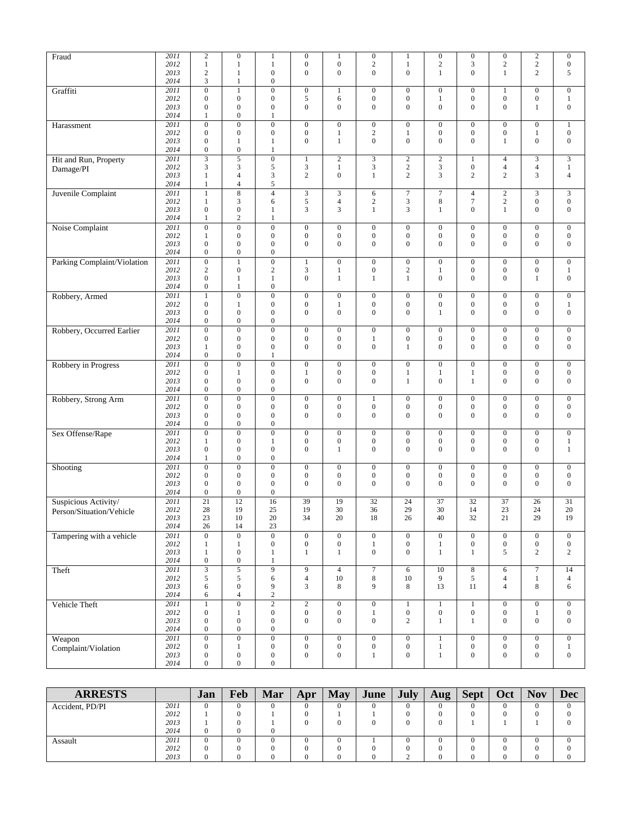| Fraud                       | 2011         | $\sqrt{2}$                         | $\boldsymbol{0}$                     | $\mathbf{1}$                         | $\boldsymbol{0}$                     | $\mathbf{1}$                         | $\boldsymbol{0}$                     | $\mathbf{1}$                         | $\boldsymbol{0}$                 | $\boldsymbol{0}$                     | $\boldsymbol{0}$                     | $\sqrt{2}$                           | $\boldsymbol{0}$                 |
|-----------------------------|--------------|------------------------------------|--------------------------------------|--------------------------------------|--------------------------------------|--------------------------------------|--------------------------------------|--------------------------------------|----------------------------------|--------------------------------------|--------------------------------------|--------------------------------------|----------------------------------|
|                             | 2012         | $\mathbf{1}$                       | 1                                    | 1                                    | $\boldsymbol{0}$                     | $\boldsymbol{0}$                     | $\mathbf{2}$                         | 1                                    | $\mathbf{2}$                     | 3                                    | $\overline{c}$                       | $\sqrt{2}$                           | $\boldsymbol{0}$                 |
|                             | 2013         | $\overline{2}$                     | $\mathbf{1}$                         | $\boldsymbol{0}$                     | $\mathbf{0}$                         | $\boldsymbol{0}$                     | $\boldsymbol{0}$                     | $\boldsymbol{0}$                     | $\mathbf{1}$                     | $\overline{0}$                       | $\mathbf{1}$                         | $\overline{c}$                       | 5                                |
|                             | 2014         | $\mathfrak{Z}$                     | $\mathbf{1}$                         | $\boldsymbol{0}$                     |                                      |                                      |                                      |                                      |                                  |                                      |                                      |                                      |                                  |
| Graffiti                    | 2011<br>2012 | $\overline{0}$<br>$\boldsymbol{0}$ | $\mathbf{1}$<br>$\boldsymbol{0}$     | $\boldsymbol{0}$<br>$\boldsymbol{0}$ | $\boldsymbol{0}$<br>5                | $\mathbf{1}$<br>6                    | $\boldsymbol{0}$<br>$\boldsymbol{0}$ | $\boldsymbol{0}$<br>$\boldsymbol{0}$ | $\boldsymbol{0}$<br>$\mathbf{1}$ | $\boldsymbol{0}$<br>$\boldsymbol{0}$ | $\mathbf{1}$<br>$\boldsymbol{0}$     | $\boldsymbol{0}$<br>$\boldsymbol{0}$ | $\boldsymbol{0}$<br>$\mathbf{1}$ |
|                             | 2013         | $\boldsymbol{0}$                   | $\boldsymbol{0}$                     | $\boldsymbol{0}$                     | $\boldsymbol{0}$                     | $\boldsymbol{0}$                     | $\boldsymbol{0}$                     | $\boldsymbol{0}$                     | $\boldsymbol{0}$                 | $\boldsymbol{0}$                     | $\mathbf{0}$                         | $\mathbf{1}$                         | $\boldsymbol{0}$                 |
|                             | 2014         | 1                                  | $\boldsymbol{0}$                     | 1                                    |                                      |                                      |                                      |                                      |                                  |                                      |                                      |                                      |                                  |
| Harassment                  | 2011         | $\overline{0}$                     | $\overline{0}$                       | $\overline{0}$                       | $\overline{0}$                       | $\overline{0}$                       | $\overline{0}$                       | $\overline{0}$                       | $\overline{0}$                   | $\overline{0}$                       | $\overline{0}$                       | $\boldsymbol{0}$                     | $\,1$                            |
|                             | 2012         | $\boldsymbol{0}$                   | $\boldsymbol{0}$                     | $\boldsymbol{0}$                     | $\boldsymbol{0}$                     | $\mathbf{1}$                         | $\mathbf{2}$                         | 1                                    | $\boldsymbol{0}$                 | $\boldsymbol{0}$                     | $\boldsymbol{0}$                     | 1                                    | $\boldsymbol{0}$                 |
|                             | 2013         | $\boldsymbol{0}$                   | $\mathbf{1}$                         | 1                                    | $\boldsymbol{0}$                     | $\mathbf{1}$                         | $\boldsymbol{0}$                     | $\boldsymbol{0}$                     | $\boldsymbol{0}$                 | $\boldsymbol{0}$                     | $\mathbf{1}$                         | $\boldsymbol{0}$                     | $\boldsymbol{0}$                 |
|                             | 2014         | $\boldsymbol{0}$                   | $\boldsymbol{0}$                     | 1                                    |                                      |                                      |                                      |                                      |                                  |                                      |                                      |                                      |                                  |
| Hit and Run, Property       | 2011         | $\overline{3}$                     | $\overline{5}$                       | $\overline{0}$                       | $\mathbf{1}$                         | $\overline{2}$                       | $\overline{3}$                       | $\overline{2}$                       | $\overline{c}$                   | $\mathbf{1}$                         | $\overline{4}$                       | 3                                    | $\overline{3}$                   |
| Damage/PI                   | 2012         | 3                                  | 3                                    | 5                                    | 3                                    | $\mathbf{1}$                         | 3                                    | $\mathbf{2}$                         | 3                                | $\boldsymbol{0}$                     | 4                                    | $\overline{4}$                       | $\mathbf{1}$                     |
|                             | 2013<br>2014 | $\mathbf{1}$<br>1                  | $\overline{4}$<br>$\overline{4}$     | 3<br>5                               | $\overline{c}$                       | $\boldsymbol{0}$                     | 1                                    | $\overline{c}$                       | 3                                | $\overline{c}$                       | $\overline{c}$                       | 3                                    | $\overline{4}$                   |
| Juvenile Complaint          | 2011         | $\mathbf{1}$                       | $\overline{8}$                       | $\overline{4}$                       | 3                                    | $\overline{\mathbf{3}}$              | 6                                    | $\overline{7}$                       | $\overline{\tau}$                | $\overline{4}$                       | $\overline{2}$                       | $\overline{\mathbf{3}}$              | $\overline{3}$                   |
|                             | 2012         | $\mathbf{1}$                       | 3                                    | 6                                    | 5                                    | $\overline{4}$                       | $\overline{c}$                       | 3                                    | 8                                | $\tau$                               | $\sqrt{2}$                           | $\boldsymbol{0}$                     | $\boldsymbol{0}$                 |
|                             | 2013         | $\boldsymbol{0}$                   | $\boldsymbol{0}$                     | 1                                    | 3                                    | 3                                    | $\mathbf{1}$                         | 3                                    | $\mathbf{1}$                     | $\overline{0}$                       | $\mathbf{1}$                         | $\boldsymbol{0}$                     | $\boldsymbol{0}$                 |
|                             | 2014         | 1                                  | $\sqrt{2}$                           | 1                                    |                                      |                                      |                                      |                                      |                                  |                                      |                                      |                                      |                                  |
| Noise Complaint             | 2011         | $\overline{0}$                     | $\boldsymbol{0}$                     | $\boldsymbol{0}$                     | $\boldsymbol{0}$                     | $\boldsymbol{0}$                     | $\boldsymbol{0}$                     | $\boldsymbol{0}$                     | $\mathbf{0}$                     | $\boldsymbol{0}$                     | $\mathbf{0}$                         | $\mathbf{0}$                         | $\boldsymbol{0}$                 |
|                             | 2012         | $\mathbf{1}$                       | $\boldsymbol{0}$                     | $\boldsymbol{0}$                     | $\boldsymbol{0}$                     | $\boldsymbol{0}$                     | $\boldsymbol{0}$                     | $\boldsymbol{0}$                     | $\boldsymbol{0}$                 | $\boldsymbol{0}$                     | $\boldsymbol{0}$                     | $\boldsymbol{0}$                     | $\boldsymbol{0}$                 |
|                             | 2013         | $\boldsymbol{0}$                   | $\boldsymbol{0}$                     | $\boldsymbol{0}$                     | $\boldsymbol{0}$                     | $\boldsymbol{0}$                     | $\boldsymbol{0}$                     | $\boldsymbol{0}$                     | $\boldsymbol{0}$                 | $\overline{0}$                       | $\mathbf{0}$                         | $\boldsymbol{0}$                     | $\boldsymbol{0}$                 |
|                             | 2014         | $\boldsymbol{0}$                   | $\boldsymbol{0}$                     | $\boldsymbol{0}$                     |                                      |                                      |                                      |                                      |                                  |                                      |                                      |                                      |                                  |
| Parking Complaint/Violation | 2011<br>2012 | $\boldsymbol{0}$<br>$\sqrt{2}$     | $\mathbf{1}$<br>$\boldsymbol{0}$     | $\boldsymbol{0}$<br>$\boldsymbol{2}$ | $\mathbf{1}$<br>3                    | $\mathbf{0}$<br>$\mathbf{1}$         | $\boldsymbol{0}$<br>$\boldsymbol{0}$ | $\boldsymbol{0}$<br>$\sqrt{2}$       | $\mathbf{0}$<br>$\mathbf{1}$     | $\boldsymbol{0}$<br>$\boldsymbol{0}$ | $\boldsymbol{0}$<br>$\boldsymbol{0}$ | $\mathbf{0}$<br>$\boldsymbol{0}$     | $\boldsymbol{0}$<br>$\mathbf{1}$ |
|                             | 2013         | $\boldsymbol{0}$                   | $\mathbf{1}$                         | $\mathbf{1}$                         | $\boldsymbol{0}$                     | $\mathbf{1}$                         | 1                                    | $\mathbf{1}$                         | $\boldsymbol{0}$                 | $\boldsymbol{0}$                     | $\boldsymbol{0}$                     | 1                                    | $\boldsymbol{0}$                 |
|                             | 2014         | $\boldsymbol{0}$                   | $\mathbf{1}$                         | $\boldsymbol{0}$                     |                                      |                                      |                                      |                                      |                                  |                                      |                                      |                                      |                                  |
| Robbery, Armed              | 2011         | $\mathbf{1}$                       | $\boldsymbol{0}$                     | $\boldsymbol{0}$                     | $\boldsymbol{0}$                     | $\boldsymbol{0}$                     | $\boldsymbol{0}$                     | $\boldsymbol{0}$                     | $\boldsymbol{0}$                 | $\boldsymbol{0}$                     | $\boldsymbol{0}$                     | $\overline{0}$                       | $\boldsymbol{0}$                 |
|                             | 2012         | $\boldsymbol{0}$                   | $\mathbf{1}$                         | $\boldsymbol{0}$                     | $\boldsymbol{0}$                     | $\mathbf{1}$                         | $\boldsymbol{0}$                     | $\boldsymbol{0}$                     | $\boldsymbol{0}$                 | $\boldsymbol{0}$                     | $\boldsymbol{0}$                     | $\boldsymbol{0}$                     | $\mathbf{1}$                     |
|                             | 2013         | $\boldsymbol{0}$                   | $\boldsymbol{0}$                     | $\boldsymbol{0}$                     | $\boldsymbol{0}$                     | $\boldsymbol{0}$                     | $\boldsymbol{0}$                     | $\boldsymbol{0}$                     | $\mathbf{1}$                     | $\boldsymbol{0}$                     | 0                                    | $\boldsymbol{0}$                     | $\boldsymbol{0}$                 |
|                             | 2014         | $\boldsymbol{0}$                   | $\boldsymbol{0}$                     | $\boldsymbol{0}$                     |                                      |                                      |                                      |                                      |                                  |                                      |                                      |                                      |                                  |
| Robbery, Occurred Earlier   | 2011         | $\overline{0}$                     | $\overline{0}$                       | $\boldsymbol{0}$                     | $\boldsymbol{0}$                     | $\boldsymbol{0}$                     | $\boldsymbol{0}$                     | $\boldsymbol{0}$                     | $\boldsymbol{0}$                 | $\boldsymbol{0}$                     | $\mathbf{0}$                         | $\mathbf{0}$                         | $\boldsymbol{0}$                 |
|                             | 2012         | $\boldsymbol{0}$                   | $\boldsymbol{0}$                     | $\boldsymbol{0}$                     | $\boldsymbol{0}$                     | $\boldsymbol{0}$                     | 1                                    | $\boldsymbol{0}$                     | $\boldsymbol{0}$                 | $\boldsymbol{0}$                     | $\boldsymbol{0}$                     | $\boldsymbol{0}$                     | $\boldsymbol{0}$                 |
|                             | 2013<br>2014 | $\mathbf{1}$<br>$\boldsymbol{0}$   | $\boldsymbol{0}$<br>$\boldsymbol{0}$ | $\boldsymbol{0}$<br>1                | $\boldsymbol{0}$                     | $\boldsymbol{0}$                     | $\boldsymbol{0}$                     | $\mathbf{1}$                         | $\boldsymbol{0}$                 | $\overline{0}$                       | $\boldsymbol{0}$                     | $\boldsymbol{0}$                     | $\mathbf{0}$                     |
| Robbery in Progress         | 2011         | $\overline{0}$                     | $\overline{0}$                       | $\boldsymbol{0}$                     | $\overline{0}$                       | $\boldsymbol{0}$                     | $\boldsymbol{0}$                     | $\overline{0}$                       | $\boldsymbol{0}$                 | $\overline{0}$                       | $\boldsymbol{0}$                     | $\boldsymbol{0}$                     | $\boldsymbol{0}$                 |
|                             | 2012         | $\boldsymbol{0}$                   | $\mathbf{1}$                         | $\boldsymbol{0}$                     | 1                                    | $\boldsymbol{0}$                     | $\boldsymbol{0}$                     | $\mathbf{1}$                         | $\mathbf{1}$                     | $\mathbf{1}$                         | $\boldsymbol{0}$                     | $\boldsymbol{0}$                     | $\boldsymbol{0}$                 |
|                             | 2013         | $\boldsymbol{0}$                   | $\boldsymbol{0}$                     | $\boldsymbol{0}$                     | $\boldsymbol{0}$                     | $\boldsymbol{0}$                     | $\boldsymbol{0}$                     | $\mathbf{1}$                         | $\boldsymbol{0}$                 | $\mathbf{1}$                         | $\mathbf{0}$                         | $\boldsymbol{0}$                     | $\boldsymbol{0}$                 |
|                             | 2014         | $\boldsymbol{0}$                   | $\boldsymbol{0}$                     | $\boldsymbol{0}$                     |                                      |                                      |                                      |                                      |                                  |                                      |                                      |                                      |                                  |
| Robbery, Strong Arm         | 2011         | $\overline{0}$                     | $\overline{0}$                       | $\boldsymbol{0}$                     | $\boldsymbol{0}$                     | $\boldsymbol{0}$                     | $\mathbf{1}$                         | $\boldsymbol{0}$                     | $\boldsymbol{0}$                 | $\boldsymbol{0}$                     | $\boldsymbol{0}$                     | $\boldsymbol{0}$                     | $\boldsymbol{0}$                 |
|                             | 2012         | $\boldsymbol{0}$                   | $\boldsymbol{0}$                     | $\boldsymbol{0}$                     | $\boldsymbol{0}$                     | $\boldsymbol{0}$                     | $\boldsymbol{0}$                     | $\boldsymbol{0}$                     | $\boldsymbol{0}$                 | $\boldsymbol{0}$                     | $\boldsymbol{0}$                     | $\boldsymbol{0}$                     | $\boldsymbol{0}$                 |
|                             | 2013         | $\boldsymbol{0}$                   | $\boldsymbol{0}$                     | $\boldsymbol{0}$                     | $\overline{0}$                       | $\boldsymbol{0}$                     | $\boldsymbol{0}$                     | $\boldsymbol{0}$                     | $\boldsymbol{0}$                 | $\overline{0}$                       | $\mathbf{0}$                         | $\boldsymbol{0}$                     | $\boldsymbol{0}$                 |
|                             | 2014         | $\boldsymbol{0}$                   | $\boldsymbol{0}$                     | $\boldsymbol{0}$                     |                                      |                                      |                                      |                                      |                                  |                                      |                                      |                                      |                                  |
| Sex Offense/Rape            | 2011<br>2012 | $\boldsymbol{0}$<br>$\mathbf{1}$   | $\boldsymbol{0}$<br>$\boldsymbol{0}$ | $\boldsymbol{0}$<br>$\mathbf{1}$     | $\boldsymbol{0}$<br>$\boldsymbol{0}$ | $\boldsymbol{0}$<br>$\boldsymbol{0}$ | $\boldsymbol{0}$<br>$\boldsymbol{0}$ | $\boldsymbol{0}$<br>$\boldsymbol{0}$ | $\mathbf{0}$<br>$\boldsymbol{0}$ | $\boldsymbol{0}$<br>$\boldsymbol{0}$ | $\mathbf{0}$<br>$\boldsymbol{0}$     | $\overline{0}$<br>$\boldsymbol{0}$   | $\boldsymbol{0}$<br>$\mathbf{1}$ |
|                             | 2013         | $\boldsymbol{0}$                   | $\boldsymbol{0}$                     | $\boldsymbol{0}$                     | $\mathbf{0}$                         | $\mathbf{1}$                         | $\boldsymbol{0}$                     | $\mathbf{0}$                         | $\boldsymbol{0}$                 | $\overline{0}$                       | $\mathbf{0}$                         | $\mathbf{0}$                         | $\mathbf{1}$                     |
|                             | 2014         | $\mathbf{1}$                       | $\boldsymbol{0}$                     | $\boldsymbol{0}$                     |                                      |                                      |                                      |                                      |                                  |                                      |                                      |                                      |                                  |
| Shooting                    | 2011         | $\boldsymbol{0}$                   | $\overline{0}$                       | $\boldsymbol{0}$                     | $\boldsymbol{0}$                     | $\boldsymbol{0}$                     | $\boldsymbol{0}$                     | $\boldsymbol{0}$                     | $\boldsymbol{0}$                 | $\boldsymbol{0}$                     | $\boldsymbol{0}$                     | $\boldsymbol{0}$                     | $\boldsymbol{0}$                 |
|                             | 2012         | $\boldsymbol{0}$                   | $\boldsymbol{0}$                     | $\boldsymbol{0}$                     | $\boldsymbol{0}$                     | $\boldsymbol{0}$                     | $\boldsymbol{0}$                     | $\boldsymbol{0}$                     | $\boldsymbol{0}$                 | $\boldsymbol{0}$                     | $\boldsymbol{0}$                     | $\boldsymbol{0}$                     | $\boldsymbol{0}$                 |
|                             | 2013         | $\boldsymbol{0}$                   | $\boldsymbol{0}$                     | $\mathbf{0}$                         | $\mathbf{0}$                         | $\boldsymbol{0}$                     | $\overline{0}$                       | $\mathbf{0}$                         | $\boldsymbol{0}$                 | $\overline{0}$                       | $\mathbf{0}$                         | $\boldsymbol{0}$                     | $\boldsymbol{0}$                 |
|                             | 2014         | $\boldsymbol{0}$                   | $\boldsymbol{0}$                     | $\boldsymbol{0}$                     |                                      |                                      |                                      |                                      |                                  |                                      |                                      |                                      |                                  |
| Suspicious Activity/        | 2011         | 21                                 | 12                                   | 16                                   | 39                                   | 19                                   | 32                                   | 24                                   | 37                               | 32                                   | 37                                   | 26                                   | 31                               |
| Person/Situation/Vehicle    | 2012         | 28                                 | 19                                   | 25                                   | 19<br>34                             | 30                                   | 36                                   | 29                                   | 30                               | 14                                   | 23                                   | 24<br>29                             | 20                               |
|                             | 2013<br>2014 | 23<br>26                           | 10<br>14                             | 20<br>23                             |                                      | 20                                   | 18                                   | 26                                   | 40                               | 32                                   | 21                                   |                                      | 19                               |
| Tampering with a vehicle    | 2011         | $\mathbf{0}$                       | $\overline{0}$                       | $\boldsymbol{0}$                     | $\overline{0}$                       | $\overline{0}$                       | $\boldsymbol{0}$                     | $\overline{0}$                       | $\overline{0}$                   | $\overline{0}$                       | $\overline{0}$                       | $\overline{0}$                       | $\overline{0}$                   |
|                             | 2012         | $\mathbf{1}$                       | $\mathbf{1}$                         | $\boldsymbol{0}$                     | $\boldsymbol{0}$                     | $\boldsymbol{0}$                     | $\mathbf{1}$                         | $\overline{0}$                       | $\mathbf{1}$                     | $\boldsymbol{0}$                     | $\overline{0}$                       | $\boldsymbol{0}$                     | $\boldsymbol{0}$                 |
|                             | 2013         | $\mathbf{1}$                       | $\boldsymbol{0}$                     | $\mathbf{1}$                         | $\mathbf{1}$                         | $\mathbf{1}$                         | $\overline{0}$                       | $\boldsymbol{0}$                     | $\mathbf{1}$                     | $\mathbf{1}$                         | 5                                    | $\overline{c}$                       | $\overline{c}$                   |
|                             | 2014         | $\boldsymbol{0}$                   | $\boldsymbol{0}$                     | $\mathbf{1}$                         |                                      |                                      |                                      |                                      |                                  |                                      |                                      |                                      |                                  |
| Theft                       | 2011         | $\overline{\mathbf{3}}$            | $\sqrt{5}$                           | 9                                    | 9                                    | $\overline{4}$                       | $\boldsymbol{7}$                     | 6                                    | 10                               | $\bf 8$                              | 6                                    | $\overline{7}$                       | 14                               |
|                             | 2012         | $\mathfrak s$                      | $\mathfrak s$                        | 6                                    | $\overline{4}$                       | $10\,$                               | $\,8\,$                              | $10\,$                               | 9                                | 5                                    | $\overline{4}$                       | $\mathbf{1}$                         | $\overline{4}$                   |
|                             | 2013         | $\sqrt{6}$                         | $\boldsymbol{0}$                     | 9                                    | 3                                    | 8                                    | 9                                    | 8                                    | 13                               | 11                                   | $\overline{4}$                       | 8                                    | 6                                |
|                             | 2014<br>2011 | 6<br>$\overline{1}$                | $\overline{4}$<br>$\overline{0}$     | $\overline{c}$<br>$\overline{2}$     | $\overline{2}$                       | $\boldsymbol{0}$                     | $\overline{0}$                       | $\mathbf{1}$                         | $\mathbf{1}$                     | $\overline{1}$                       | $\overline{0}$                       | $\overline{0}$                       | $\overline{0}$                   |
| Vehicle Theft               | 2012         | $\boldsymbol{0}$                   | $\mathbf{1}$                         | $\boldsymbol{0}$                     | $\boldsymbol{0}$                     | $\boldsymbol{0}$                     | $\mathbf{1}$                         | $\boldsymbol{0}$                     | $\boldsymbol{0}$                 | $\boldsymbol{0}$                     | $\boldsymbol{0}$                     | $\mathbf{1}$                         | $\boldsymbol{0}$                 |
|                             | 2013         | $\boldsymbol{0}$                   | $\boldsymbol{0}$                     | $\boldsymbol{0}$                     | $\mathbf{0}$                         | $\mathbf{0}$                         | $\overline{0}$                       | $\overline{c}$                       | $\mathbf{1}$                     | $\mathbf{1}$                         | $\overline{0}$                       | $\boldsymbol{0}$                     | $\overline{0}$                   |
|                             | 2014         | $\boldsymbol{0}$                   | $\boldsymbol{0}$                     | $\boldsymbol{0}$                     |                                      |                                      |                                      |                                      |                                  |                                      |                                      |                                      |                                  |
| Weapon                      | 2011         | $\overline{0}$                     | $\overline{0}$                       | $\overline{0}$                       | $\overline{0}$                       | $\overline{0}$                       | $\overline{0}$                       | $\overline{0}$                       | $\bf 1$                          | $\overline{0}$                       | $\overline{0}$                       | $\overline{0}$                       | $\overline{0}$                   |
| Complaint/Violation         | 2012         | $\boldsymbol{0}$                   | $\mathbf{1}$                         | $\boldsymbol{0}$                     | $\boldsymbol{0}$                     | $\boldsymbol{0}$                     | $\boldsymbol{0}$                     | $\boldsymbol{0}$                     | $\mathbf{1}$                     | $\boldsymbol{0}$                     | $\boldsymbol{0}$                     | $\boldsymbol{0}$                     | $\mathbf{1}$                     |
|                             | 2013         | $\boldsymbol{0}$                   | $\boldsymbol{0}$                     | $\boldsymbol{0}$                     | $\boldsymbol{0}$                     | $\boldsymbol{0}$                     | $\mathbf{1}$                         | $\boldsymbol{0}$                     | $\mathbf{1}$                     | $\boldsymbol{0}$                     | $\boldsymbol{0}$                     | $\boldsymbol{0}$                     | $\mathbf{0}$                     |
|                             | 2014         | $\boldsymbol{0}$                   | $\boldsymbol{0}$                     | $\boldsymbol{0}$                     |                                      |                                      |                                      |                                      |                                  |                                      |                                      |                                      |                                  |

| <b>ARRESTS</b>  |      | Jan            | Feb | Mar | Apr | May      | June     | <b>July</b> | Aug<br>$\overline{\phantom{a}}$ | <b>Sept</b> | Oct | <b>Nov</b> | <b>Dec</b> |
|-----------------|------|----------------|-----|-----|-----|----------|----------|-------------|---------------------------------|-------------|-----|------------|------------|
| Accident, PD/PI | 2011 | $\bf{0}$       |     |     |     | $\theta$ | $^{(1)}$ |             | $\theta$                        |             |     | $\Omega$   | $\Omega$   |
|                 | 2012 |                |     |     |     |          |          |             |                                 |             |     |            | 0          |
|                 | 2013 |                |     |     |     | $\theta$ |          |             | $\Omega$                        |             |     |            |            |
|                 | 2014 | $\mathbf{0}$   |     |     |     |          |          |             |                                 |             |     |            |            |
| Assault         | 2011 | $\overline{0}$ |     |     |     | $\Omega$ |          |             | $\theta$                        |             |     |            | $\Omega$   |
|                 | 2012 | $\mathbf{0}$   |     |     |     |          |          |             |                                 |             |     |            | $\Omega$   |
|                 | 2013 | 0              |     |     |     |          |          |             |                                 |             |     |            |            |